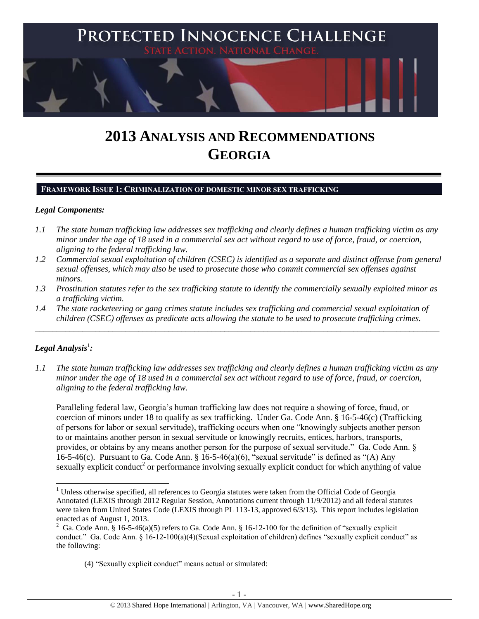

# **2013 ANALYSIS AND RECOMMENDATIONS GEORGIA**

# **FRAMEWORK ISSUE 1: CRIMINALIZATION OF DOMESTIC MINOR SEX TRAFFICKING**

#### *Legal Components:*

- *1.1 The state human trafficking law addresses sex trafficking and clearly defines a human trafficking victim as any minor under the age of 18 used in a commercial sex act without regard to use of force, fraud, or coercion, aligning to the federal trafficking law.*
- *1.2 Commercial sexual exploitation of children (CSEC) is identified as a separate and distinct offense from general sexual offenses, which may also be used to prosecute those who commit commercial sex offenses against minors.*
- *1.3 Prostitution statutes refer to the sex trafficking statute to identify the commercially sexually exploited minor as a trafficking victim.*
- *1.4 The state racketeering or gang crimes statute includes sex trafficking and commercial sexual exploitation of children (CSEC) offenses as predicate acts allowing the statute to be used to prosecute trafficking crimes.*

\_\_\_\_\_\_\_\_\_\_\_\_\_\_\_\_\_\_\_\_\_\_\_\_\_\_\_\_\_\_\_\_\_\_\_\_\_\_\_\_\_\_\_\_\_\_\_\_\_\_\_\_\_\_\_\_\_\_\_\_\_\_\_\_\_\_\_\_\_\_\_\_\_\_\_\_\_\_\_\_\_\_\_\_\_\_\_\_\_\_\_\_\_\_

# $\bm{L}$ egal Analysis $^1$ :

*1.1 The state human trafficking law addresses sex trafficking and clearly defines a human trafficking victim as any minor under the age of 18 used in a commercial sex act without regard to use of force, fraud, or coercion, aligning to the federal trafficking law.*

Paralleling federal law, Georgia's human trafficking law does not require a showing of force, fraud, or coercion of minors under 18 to qualify as sex trafficking. Under Ga. Code Ann. § 16-5-46(c) (Trafficking of persons for labor or sexual servitude), trafficking occurs when one "knowingly subjects another person to or maintains another person in sexual servitude or knowingly recruits, entices, harbors, transports, provides, or obtains by any means another person for the purpose of sexual servitude." Ga. Code Ann. § 16-5-46(c). Pursuant to Ga. Code Ann. § 16-5-46(a)(6), "sexual servitude" is defined as "(A) Any sexually explicit conduct<sup>2</sup> or performance involving sexually explicit conduct for which anything of value

l  $1$  Unless otherwise specified, all references to Georgia statutes were taken from the Official Code of Georgia Annotated (LEXIS through 2012 Regular Session, Annotations current through 11/9/2012) and all federal statutes were taken from United States Code (LEXIS through PL 113-13, approved 6/3/13). This report includes legislation enacted as of August 1, 2013.

<sup>&</sup>lt;sup>2</sup> Ga. Code Ann. § 16-5-46(a)(5) refers to Ga. Code Ann. § 16-12-100 for the definition of "sexually explicit conduct." Ga. Code Ann. § 16-12-100(a)(4)(Sexual exploitation of children) defines "sexually explicit conduct" as the following:

<sup>(4)</sup> "Sexually explicit conduct" means actual or simulated: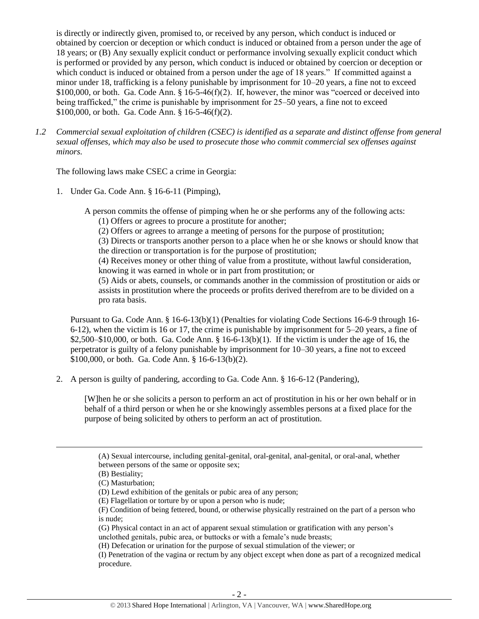is directly or indirectly given, promised to, or received by any person, which conduct is induced or obtained by coercion or deception or which conduct is induced or obtained from a person under the age of 18 years; or (B) Any sexually explicit conduct or performance involving sexually explicit conduct which is performed or provided by any person, which conduct is induced or obtained by coercion or deception or which conduct is induced or obtained from a person under the age of 18 years." If committed against a minor under 18, trafficking is a felony punishable by imprisonment for 10–20 years, a fine not to exceed \$100,000, or both. Ga. Code Ann.  $\S$  16-5-46(f)(2). If, however, the minor was "coerced or deceived into being trafficked," the crime is punishable by imprisonment for 25–50 years, a fine not to exceed \$100,000, or both. Ga. Code Ann. § 16-5-46(f)(2).

*1.2 Commercial sexual exploitation of children (CSEC) is identified as a separate and distinct offense from general sexual offenses, which may also be used to prosecute those who commit commercial sex offenses against minors.*

The following laws make CSEC a crime in Georgia:

1. Under Ga. Code Ann. § 16-6-11 (Pimping),

A person commits the offense of pimping when he or she performs any of the following acts:

(1) Offers or agrees to procure a prostitute for another;

(2) Offers or agrees to arrange a meeting of persons for the purpose of prostitution;

(3) Directs or transports another person to a place when he or she knows or should know that the direction or transportation is for the purpose of prostitution;

(4) Receives money or other thing of value from a prostitute, without lawful consideration, knowing it was earned in whole or in part from prostitution; or

(5) Aids or abets, counsels, or commands another in the commission of prostitution or aids or assists in prostitution where the proceeds or profits derived therefrom are to be divided on a pro rata basis.

Pursuant to Ga. Code Ann. § 16-6-13(b)(1) (Penalties for violating Code Sections 16-6-9 through 16- 6-12), when the victim is 16 or 17, the crime is punishable by imprisonment for 5–20 years, a fine of  $$2,500–$10,000$ , or both. Ga. Code Ann. § 16-6-13(b)(1). If the victim is under the age of 16, the perpetrator is guilty of a felony punishable by imprisonment for 10–30 years, a fine not to exceed \$100,000, or both. Ga. Code Ann. § 16-6-13(b)(2).

2. A person is guilty of pandering, according to Ga. Code Ann. § 16-6-12 (Pandering),

[W]hen he or she solicits a person to perform an act of prostitution in his or her own behalf or in behalf of a third person or when he or she knowingly assembles persons at a fixed place for the purpose of being solicited by others to perform an act of prostitution.

l

<sup>(</sup>A) Sexual intercourse, including genital-genital, oral-genital, anal-genital, or oral-anal, whether between persons of the same or opposite sex;

<sup>(</sup>B) Bestiality;

<sup>(</sup>C) Masturbation;

<sup>(</sup>D) Lewd exhibition of the genitals or pubic area of any person;

<sup>(</sup>E) Flagellation or torture by or upon a person who is nude;

<sup>(</sup>F) Condition of being fettered, bound, or otherwise physically restrained on the part of a person who is nude;

<sup>(</sup>G) Physical contact in an act of apparent sexual stimulation or gratification with any person's unclothed genitals, pubic area, or buttocks or with a female's nude breasts;

<sup>(</sup>H) Defecation or urination for the purpose of sexual stimulation of the viewer; or

<sup>(</sup>I) Penetration of the vagina or rectum by any object except when done as part of a recognized medical procedure.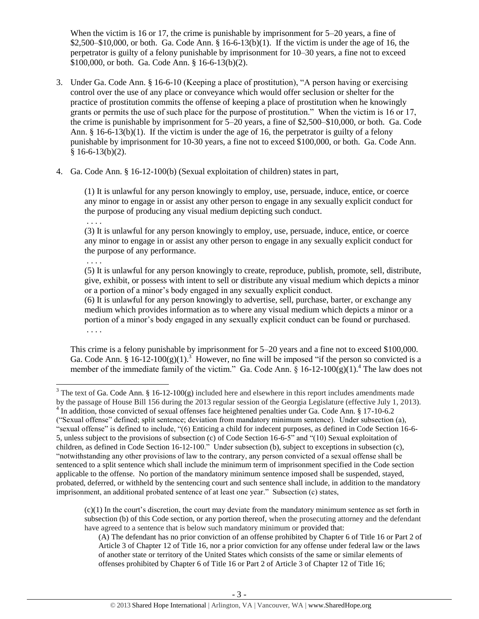When the victim is 16 or 17, the crime is punishable by imprisonment for 5–20 years, a fine of  $$2,500–$10,000$ , or both. Ga. Code Ann.  $§$  16-6-13(b)(1). If the victim is under the age of 16, the perpetrator is guilty of a felony punishable by imprisonment for 10–30 years, a fine not to exceed \$100,000, or both. Ga. Code Ann. § 16-6-13(b)(2).

- 3. Under Ga. Code Ann. § 16-6-10 (Keeping a place of prostitution), "A person having or exercising control over the use of any place or conveyance which would offer seclusion or shelter for the practice of prostitution commits the offense of keeping a place of prostitution when he knowingly grants or permits the use of such place for the purpose of prostitution." When the victim is 16 or 17, the crime is punishable by imprisonment for 5–20 years, a fine of \$2,500–\$10,000, or both. Ga. Code Ann.  $\S$  16-6-13(b)(1). If the victim is under the age of 16, the perpetrator is guilty of a felony punishable by imprisonment for 10-30 years, a fine not to exceed \$100,000, or both. Ga. Code Ann.  $§ 16-6-13(b)(2).$
- 4. Ga. Code Ann. § 16-12-100(b) (Sexual exploitation of children) states in part,

(1) It is unlawful for any person knowingly to employ, use, persuade, induce, entice, or coerce any minor to engage in or assist any other person to engage in any sexually explicit conduct for the purpose of producing any visual medium depicting such conduct.

. . . .

(3) It is unlawful for any person knowingly to employ, use, persuade, induce, entice, or coerce any minor to engage in or assist any other person to engage in any sexually explicit conduct for the purpose of any performance.

. . . .

(5) It is unlawful for any person knowingly to create, reproduce, publish, promote, sell, distribute, give, exhibit, or possess with intent to sell or distribute any visual medium which depicts a minor or a portion of a minor's body engaged in any sexually explicit conduct.

<span id="page-2-1"></span>(6) It is unlawful for any person knowingly to advertise, sell, purchase, barter, or exchange any medium which provides information as to where any visual medium which depicts a minor or a portion of a minor's body engaged in any sexually explicit conduct can be found or purchased. . . . .

<span id="page-2-0"></span>This crime is a felony punishable by imprisonment for 5–20 years and a fine not to exceed \$100,000. Ga. Code Ann. § 16-12-100(g)(1).<sup>3</sup> However, no fine will be imposed "if the person so convicted is a member of the immediate family of the victim." Ga. Code Ann.  $\S$  16-12-100(g)(1).<sup>4</sup> The law does not

<sup>4</sup> In addition, those convicted of sexual offenses face heightened penalties under Ga. Code Ann. § 17-10-6.2 ("Sexual offense" defined; split sentence; deviation from mandatory minimum sentence). Under subsection (a), "sexual offense" is defined to include, "(6) Enticing a child for indecent purposes, as defined in Code Section 16-6- 5, unless subject to the provisions of subsection (c) of Code Section 16-6-5" and "(10) Sexual exploitation of children, as defined in Code Section 16-12-100." Under subsection (b), subject to exceptions in subsection (c), "notwithstanding any other provisions of law to the contrary, any person convicted of a sexual offense shall be sentenced to a split sentence which shall include the minimum term of imprisonment specified in the Code section applicable to the offense. No portion of the mandatory minimum sentence imposed shall be suspended, stayed, probated, deferred, or withheld by the sentencing court and such sentence shall include, in addition to the mandatory imprisonment, an additional probated sentence of at least one year." Subsection (c) states,

 $(c)(1)$  In the court's discretion, the court may deviate from the mandatory minimum sentence as set forth in subsection (b) of this Code section, or any portion thereof, when the prosecuting attorney and the defendant have agreed to a sentence that is below such mandatory minimum or provided that:

(A) The defendant has no prior conviction of an offense prohibited by Chapter 6 of Title 16 or Part 2 of Article 3 of Chapter 12 of Title 16, nor a prior conviction for any offense under federal law or the laws of another state or territory of the United States which consists of the same or similar elements of offenses prohibited by Chapter 6 of Title 16 or Part 2 of Article 3 of Chapter 12 of Title 16;

 $\overline{\phantom{a}}$ <sup>3</sup> The text of Ga. Code Ann. § 16-12-100(g) included here and elsewhere in this report includes amendments made by the passage of House Bill 156 during the 2013 regular session of the Georgia Legislature (effective July 1, 2013).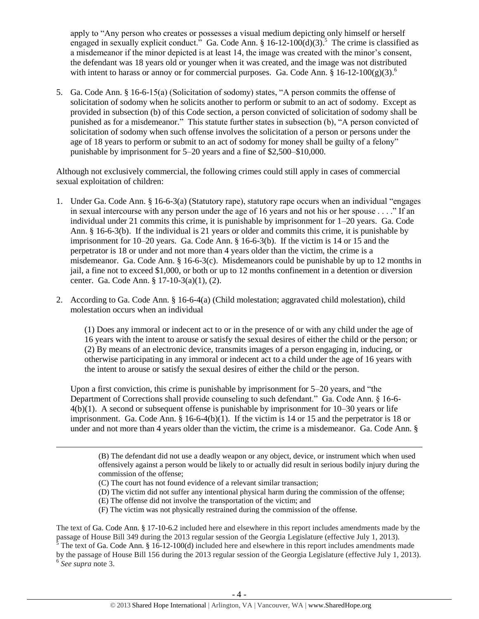apply to "Any person who creates or possesses a visual medium depicting only himself or herself engaged in sexually explicit conduct.<sup>5</sup> Ga. Code Ann. § 16-12-100 $(d)(3)$ .<sup>5</sup> The crime is classified as a misdemeanor if the minor depicted is at least 14, the image was created with the minor's consent, the defendant was 18 years old or younger when it was created, and the image was not distributed with intent to harass or annoy or for commercial purposes. Ga. Code Ann.  $\S 16$ -12-100(g)(3).

5. Ga. Code Ann. § 16-6-15(a) (Solicitation of sodomy) states, "A person commits the offense of solicitation of sodomy when he solicits another to perform or submit to an act of sodomy. Except as provided in subsection (b) of this Code section, a person convicted of solicitation of sodomy shall be punished as for a misdemeanor." This statute further states in subsection (b), "A person convicted of solicitation of sodomy when such offense involves the solicitation of a person or persons under the age of 18 years to perform or submit to an act of sodomy for money shall be guilty of a felony" punishable by imprisonment for 5–20 years and a fine of \$2,500–\$10,000.

Although not exclusively commercial, the following crimes could still apply in cases of commercial sexual exploitation of children:

- 1. Under Ga. Code Ann. § 16-6-3(a) (Statutory rape), statutory rape occurs when an individual "engages in sexual intercourse with any person under the age of 16 years and not his or her spouse . . . ." If an individual under 21 commits this crime, it is punishable by imprisonment for 1–20 years. Ga. Code Ann. § 16-6-3(b). If the individual is 21 years or older and commits this crime, it is punishable by imprisonment for 10–20 years. Ga. Code Ann. § 16-6-3(b). If the victim is 14 or 15 and the perpetrator is 18 or under and not more than 4 years older than the victim, the crime is a misdemeanor. Ga. Code Ann. § 16-6-3(c). Misdemeanors could be punishable by up to 12 months in jail, a fine not to exceed \$1,000, or both or up to 12 months confinement in a detention or diversion center. Ga. Code Ann. § 17-10-3(a)(1), (2).
- 2. According to Ga. Code Ann. § 16-6-4(a) (Child molestation; aggravated child molestation), child molestation occurs when an individual

(1) Does any immoral or indecent act to or in the presence of or with any child under the age of 16 years with the intent to arouse or satisfy the sexual desires of either the child or the person; or (2) By means of an electronic device, transmits images of a person engaging in, inducing, or otherwise participating in any immoral or indecent act to a child under the age of 16 years with the intent to arouse or satisfy the sexual desires of either the child or the person.

Upon a first conviction, this crime is punishable by imprisonment for 5–20 years, and "the Department of Corrections shall provide counseling to such defendant." Ga. Code Ann. § 16-6- 4(b)(1). A second or subsequent offense is punishable by imprisonment for 10–30 years or life imprisonment. Ga. Code Ann.  $\S 16-6-4(b)(1)$ . If the victim is 14 or 15 and the perpetrator is 18 or under and not more than 4 years older than the victim, the crime is a misdemeanor. Ga. Code Ann. §

(B) The defendant did not use a deadly weapon or any object, device, or instrument which when used offensively against a person would be likely to or actually did result in serious bodily injury during the commission of the offense;

(C) The court has not found evidence of a relevant similar transaction;

l

- (D) The victim did not suffer any intentional physical harm during the commission of the offense;
- (E) The offense did not involve the transportation of the victim; and
- (F) The victim was not physically restrained during the commission of the offense.

The text of Ga. Code Ann. § 17-10-6.2 included here and elsewhere in this report includes amendments made by the passage of House Bill 349 during the 2013 regular session of the Georgia Legislature (effective July 1, 2013).

<sup>5</sup> The text of Ga. Code Ann. § 16-12-100(d) included here and elsewhere in this report includes amendments made by the passage of House Bill 156 during the 2013 regular session of the Georgia Legislature (effective July 1, 2013). 6 *See supra* note [3.](#page-2-0)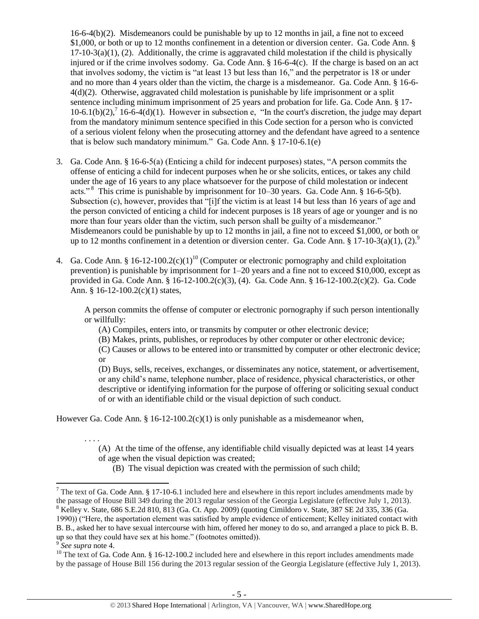$16-6-4(b)(2)$ . Misdemeanors could be punishable by up to 12 months in jail, a fine not to exceed \$1,000, or both or up to 12 months confinement in a detention or diversion center. Ga. Code Ann. §  $17-10-3(a)(1)$ , (2). Additionally, the crime is aggravated child molestation if the child is physically injured or if the crime involves sodomy. Ga. Code Ann. § 16-6-4(c). If the charge is based on an act that involves sodomy, the victim is "at least 13 but less than 16," and the perpetrator is 18 or under and no more than 4 years older than the victim, the charge is a misdemeanor. Ga. Code Ann. § 16-6- 4(d)(2). Otherwise, aggravated child molestation is punishable by life imprisonment or a split sentence including minimum imprisonment of 25 years and probation for life. Ga. Code Ann. § 17-  $10-6.1(b)(2)$ ,  $16-6-4(d)(1)$ . However in subsection e, "In the court's discretion, the judge may depart from the mandatory minimum sentence specified in this Code section for a person who is convicted of a serious violent felony when the prosecuting attorney and the defendant have agreed to a sentence that is below such mandatory minimum." Ga. Code Ann. § 17-10-6.1(e)

- 3. Ga. Code Ann. § 16-6-5(a) (Enticing a child for indecent purposes) states, "A person commits the offense of enticing a child for indecent purposes when he or she solicits, entices, or takes any child under the age of 16 years to any place whatsoever for the purpose of child molestation or indecent acts."<sup>8</sup> This crime is punishable by imprisonment for 10–30 years. Ga. Code Ann. § 16-6-5(b). Subsection (c), however, provides that "[i]f the victim is at least 14 but less than 16 years of age and the person convicted of enticing a child for indecent purposes is 18 years of age or younger and is no more than four years older than the victim, such person shall be guilty of a misdemeanor." Misdemeanors could be punishable by up to 12 months in jail, a fine not to exceed \$1,000, or both or up to 12 months confinement in a detention or diversion center. Ga. Code Ann. § 17-10-3(a)(1), (2).<sup>9</sup>
- 4. Ga. Code Ann. § 16-12-100.2(c)(1)<sup>10</sup> (Computer or electronic pornography and child exploitation prevention) is punishable by imprisonment for 1–20 years and a fine not to exceed \$10,000, except as provided in Ga. Code Ann. § 16-12-100.2(c)(3), (4). Ga. Code Ann. § 16-12-100.2(c)(2). Ga. Code Ann. § 16-12-100.2(c)(1) states,

A person commits the offense of computer or electronic pornography if such person intentionally or willfully:

<span id="page-4-0"></span>(A) Compiles, enters into, or transmits by computer or other electronic device;

(B) Makes, prints, publishes, or reproduces by other computer or other electronic device;

(C) Causes or allows to be entered into or transmitted by computer or other electronic device; or

(D) Buys, sells, receives, exchanges, or disseminates any notice, statement, or advertisement, or any child's name, telephone number, place of residence, physical characteristics, or other descriptive or identifying information for the purpose of offering or soliciting sexual conduct of or with an identifiable child or the visual depiction of such conduct.

However Ga. Code Ann. § 16-12-100.2(c)(1) is only punishable as a misdemeanor when,

. . . . (A) At the time of the offense, any identifiable child visually depicted was at least 14 years of age when the visual depiction was created;

(B) The visual depiction was created with the permission of such child;

 $8$  Kelley v. State, 686 S.E.2d 810, 813 (Ga. Ct. App. 2009) (quoting Cimildoro v. State, 387 SE 2d 335, 336 (Ga. 1990)) ("Here, the asportation element was satisfied by ample evidence of enticement; Kelley initiated contact with B. B., asked her to have sexual intercourse with him, offered her money to do so, and arranged a place to pick B. B. up so that they could have sex at his home." (footnotes omitted)).

l <sup>7</sup> The text of Ga. Code Ann. § 17-10-6.1 included here and elsewhere in this report includes amendments made by the passage of House Bill 349 during the 2013 regular session of the Georgia Legislature (effective July 1, 2013).

<sup>9</sup> *See supra* note [4.](#page-2-1)

 $10$  The text of Ga. Code Ann. § 16-12-100.2 included here and elsewhere in this report includes amendments made by the passage of House Bill 156 during the 2013 regular session of the Georgia Legislature (effective July 1, 2013).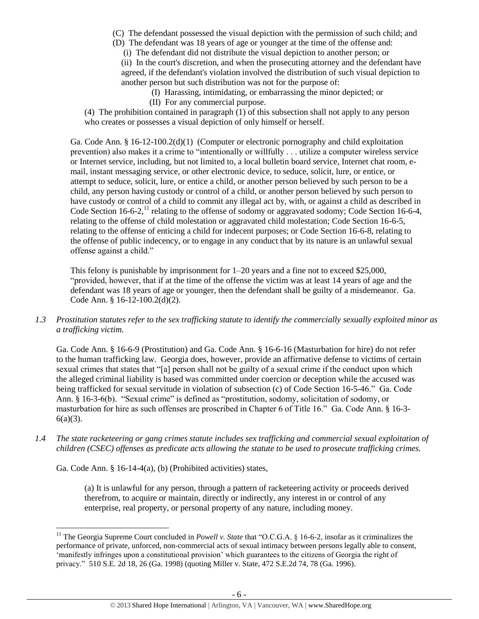- (C) The defendant possessed the visual depiction with the permission of such child; and
- (D) The defendant was 18 years of age or younger at the time of the offense and:
	- (i) The defendant did not distribute the visual depiction to another person; or

(ii) In the court's discretion, and when the prosecuting attorney and the defendant have agreed, if the defendant's violation involved the distribution of such visual depiction to another person but such distribution was not for the purpose of:

- (I) Harassing, intimidating, or embarrassing the minor depicted; or
- (II) For any commercial purpose.

(4) The prohibition contained in paragraph  $(1)$  of this subsection shall not apply to any person who creates or possesses a visual depiction of only himself or herself.

Ga. Code Ann. § 16-12-100.2(d)(1) (Computer or electronic pornography and child exploitation prevention) also makes it a crime to "intentionally or willfully . . . utilize a computer wireless service or Internet service, including, but not limited to, a local bulletin board service, Internet chat room, email, instant messaging service, or other electronic device, to seduce, solicit, lure, or entice, or attempt to seduce, solicit, lure, or entice a child, or another person believed by such person to be a child, any person having custody or control of a child, or another person believed by such person to have custody or control of a child to commit any illegal act by, with, or against a child as described in Code Section 16-6-2,<sup>11</sup> relating to the offense of sodomy or aggravated sodomy; Code Section 16-6-4, relating to the offense of child molestation or aggravated child molestation; Code Section 16-6-5, relating to the offense of enticing a child for indecent purposes; or Code Section 16-6-8, relating to the offense of public indecency, or to engage in any conduct that by its nature is an unlawful sexual offense against a child."

<span id="page-5-0"></span>This felony is punishable by imprisonment for  $1-20$  years and a fine not to exceed \$25,000, "provided, however, that if at the time of the offense the victim was at least 14 years of age and the defendant was 18 years of age or younger, then the defendant shall be guilty of a misdemeanor. Ga. Code Ann. § 16-12-100.2(d)(2).

*1.3 Prostitution statutes refer to the sex trafficking statute to identify the commercially sexually exploited minor as a trafficking victim.* 

Ga. Code Ann. § 16-6-9 (Prostitution) and Ga. Code Ann. § 16-6-16 (Masturbation for hire) do not refer to the human trafficking law. Georgia does, however, provide an affirmative defense to victims of certain sexual crimes that states that "[a] person shall not be guilty of a sexual crime if the conduct upon which the alleged criminal liability is based was committed under coercion or deception while the accused was being trafficked for sexual servitude in violation of subsection (c) of Code Section 16-5-46." Ga. Code Ann. § 16-3-6(b). "Sexual crime" is defined as "prostitution, sodomy, solicitation of sodomy, or masturbation for hire as such offenses are proscribed in Chapter 6 of Title 16." Ga. Code Ann. § 16-3-  $6(a)(3)$ .

*1.4 The state racketeering or gang crimes statute includes sex trafficking and commercial sexual exploitation of children (CSEC) offenses as predicate acts allowing the statute to be used to prosecute trafficking crimes.* 

Ga. Code Ann. § 16-14-4(a), (b) (Prohibited activities) states,

(a) It is unlawful for any person, through a pattern of racketeering activity or proceeds derived therefrom, to acquire or maintain, directly or indirectly, any interest in or control of any enterprise, real property, or personal property of any nature, including money.

 $\overline{\phantom{a}}$ <sup>11</sup> The Georgia Supreme Court concluded in *Powell v. State* that "O.C.G.A. § 16-6-2, insofar as it criminalizes the performance of private, unforced, non-commercial acts of sexual intimacy between persons legally able to consent, 'manifestly infringes upon a constitutional provision' which guarantees to the citizens of Georgia the right of privacy." 510 S.E. 2d 18, 26 (Ga. 1998) (quoting Miller v. State, 472 S.E.2d 74, 78 (Ga. 1996).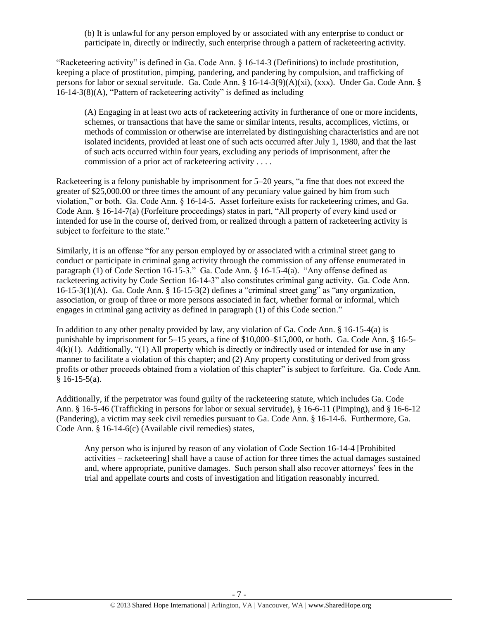(b) It is unlawful for any person employed by or associated with any enterprise to conduct or participate in, directly or indirectly, such enterprise through a pattern of racketeering activity.

"Racketeering activity" is defined in Ga. Code Ann. § 16-14-3 (Definitions) to include prostitution, keeping a place of prostitution, pimping, pandering, and pandering by compulsion, and trafficking of persons for labor or sexual servitude. Ga. Code Ann. § 16-14-3(9)(A)(xi), (xxx). Under Ga. Code Ann. § 16-14-3(8)(A), "Pattern of racketeering activity" is defined as including

(A) Engaging in at least two acts of racketeering activity in furtherance of one or more incidents, schemes, or transactions that have the same or similar intents, results, accomplices, victims, or methods of commission or otherwise are interrelated by distinguishing characteristics and are not isolated incidents, provided at least one of such acts occurred after July 1, 1980, and that the last of such acts occurred within four years, excluding any periods of imprisonment, after the commission of a prior act of racketeering activity . . . .

Racketeering is a felony punishable by imprisonment for 5–20 years, "a fine that does not exceed the greater of \$25,000.00 or three times the amount of any pecuniary value gained by him from such violation," or both. Ga. Code Ann. § 16-14-5. Asset forfeiture exists for racketeering crimes, and Ga. Code Ann. § 16-14-7(a) (Forfeiture proceedings) states in part, "All property of every kind used or intended for use in the course of, derived from, or realized through a pattern of racketeering activity is subject to forfeiture to the state."

Similarly, it is an offense "for any person employed by or associated with a criminal street gang to conduct or participate in criminal gang activity through the commission of any offense enumerated in paragraph (1) of Code Section 16-15-3." Ga. Code Ann. § 16-15-4(a). "Any offense defined as racketeering activity by Code Section 16-14-3" also constitutes criminal gang activity. Ga. Code Ann. 16-15-3(1)(A). Ga. Code Ann. § 16-15-3(2) defines a "criminal street gang" as "any organization, association, or group of three or more persons associated in fact, whether formal or informal, which engages in criminal gang activity as defined in paragraph (1) of this Code section."

In addition to any other penalty provided by law, any violation of Ga. Code Ann. § 16-15-4(a) is punishable by imprisonment for 5–15 years, a fine of \$10,000–\$15,000, or both. Ga. Code Ann. § 16-5-  $4(k)(1)$ . Additionally, "(1) All property which is directly or indirectly used or intended for use in any manner to facilitate a violation of this chapter; and (2) Any property constituting or derived from gross profits or other proceeds obtained from a violation of this chapter" is subject to forfeiture. Ga. Code Ann.  $§ 16-15-5(a).$ 

Additionally, if the perpetrator was found guilty of the racketeering statute, which includes Ga. Code Ann. § 16-5-46 (Trafficking in persons for labor or sexual servitude), § 16-6-11 (Pimping), and § 16-6-12 (Pandering), a victim may seek civil remedies pursuant to Ga. Code Ann. § 16-14-6. Furthermore, Ga. Code Ann. § 16-14-6(c) (Available civil remedies) states,

Any person who is injured by reason of any violation of Code Section 16-14-4 [Prohibited activities – racketeering] shall have a cause of action for three times the actual damages sustained and, where appropriate, punitive damages. Such person shall also recover attorneys' fees in the trial and appellate courts and costs of investigation and litigation reasonably incurred.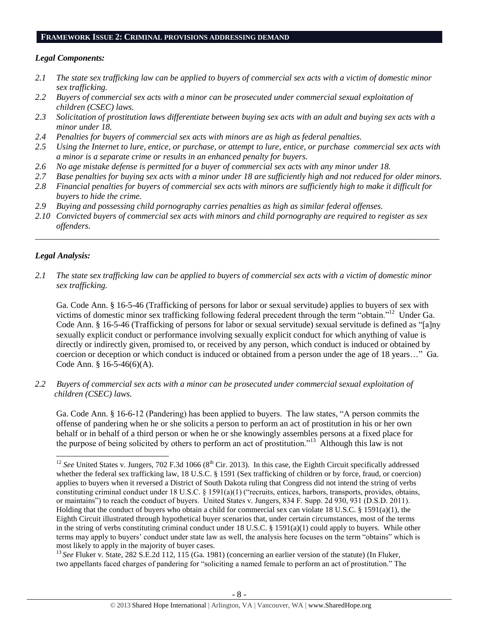#### **FRAMEWORK ISSUE 2: CRIMINAL PROVISIONS ADDRESSING DEMAND**

# *Legal Components:*

- *2.1 The state sex trafficking law can be applied to buyers of commercial sex acts with a victim of domestic minor sex trafficking.*
- *2.2 Buyers of commercial sex acts with a minor can be prosecuted under commercial sexual exploitation of children (CSEC) laws.*
- *2.3 Solicitation of prostitution laws differentiate between buying sex acts with an adult and buying sex acts with a minor under 18.*
- *2.4 Penalties for buyers of commercial sex acts with minors are as high as federal penalties.*
- *2.5 Using the Internet to lure, entice, or purchase, or attempt to lure, entice, or purchase commercial sex acts with a minor is a separate crime or results in an enhanced penalty for buyers.*
- *2.6 No age mistake defense is permitted for a buyer of commercial sex acts with any minor under 18.*
- *2.7 Base penalties for buying sex acts with a minor under 18 are sufficiently high and not reduced for older minors.*
- *2.8 Financial penalties for buyers of commercial sex acts with minors are sufficiently high to make it difficult for buyers to hide the crime.*
- *2.9 Buying and possessing child pornography carries penalties as high as similar federal offenses.*
- *2.10 Convicted buyers of commercial sex acts with minors and child pornography are required to register as sex offenders.*

\_\_\_\_\_\_\_\_\_\_\_\_\_\_\_\_\_\_\_\_\_\_\_\_\_\_\_\_\_\_\_\_\_\_\_\_\_\_\_\_\_\_\_\_\_\_\_\_\_\_\_\_\_\_\_\_\_\_\_\_\_\_\_\_\_\_\_\_\_\_\_\_\_\_\_\_\_\_\_\_\_\_\_\_\_\_\_\_\_\_\_\_\_\_

# *Legal Analysis:*

 $\overline{a}$ 

*2.1 The state sex trafficking law can be applied to buyers of commercial sex acts with a victim of domestic minor sex trafficking.* 

Ga. Code Ann. § 16-5-46 (Trafficking of persons for labor or sexual servitude) applies to buyers of sex with victims of domestic minor sex trafficking following federal precedent through the term "obtain."<sup>12</sup> Under Ga. Code Ann. § 16-5-46 (Trafficking of persons for labor or sexual servitude) sexual servitude is defined as "[a]ny sexually explicit conduct or performance involving sexually explicit conduct for which anything of value is directly or indirectly given, promised to, or received by any person, which conduct is induced or obtained by coercion or deception or which conduct is induced or obtained from a person under the age of 18 years…" Ga. Code Ann. § 16-5-46(6)(A).

*2.2 Buyers of commercial sex acts with a minor can be prosecuted under commercial sexual exploitation of children (CSEC) laws.*

Ga. Code Ann. § 16-6-12 (Pandering) has been applied to buyers. The law states, "A person commits the offense of pandering when he or she solicits a person to perform an act of prostitution in his or her own behalf or in behalf of a third person or when he or she knowingly assembles persons at a fixed place for the purpose of being solicited by others to perform an act of prostitution."<sup>13</sup> Although this law is not

<sup>13</sup> See Fluker v. State, 282 S.E.2d 112, 115 (Ga. 1981) (concerning an earlier version of the statute) (In Fluker, two appellants faced charges of pandering for "soliciting a named female to perform an act of prostitution." The

 $12$  *See* United States v. Jungers, 702 F.3d 1066 ( $8<sup>th</sup>$  Cir. 2013). In this case, the Eighth Circuit specifically addressed whether the federal sex trafficking law, 18 U.S.C. § 1591 (Sex trafficking of children or by force, fraud, or coercion) applies to buyers when it reversed a District of South Dakota ruling that Congress did not intend the string of verbs constituting criminal conduct under 18 U.S.C. § 1591(a)(1) ("recruits, entices, harbors, transports, provides, obtains, or maintains") to reach the conduct of buyers. United States v. Jungers, 834 F. Supp. 2d 930, 931 (D.S.D. 2011). Holding that the conduct of buyers who obtain a child for commercial sex can violate 18 U.S.C. § 1591(a)(1), the Eighth Circuit illustrated through hypothetical buyer scenarios that, under certain circumstances, most of the terms in the string of verbs constituting criminal conduct under 18 U.S.C. § 1591(a)(1) could apply to buyers. While other terms may apply to buyers' conduct under state law as well, the analysis here focuses on the term "obtains" which is most likely to apply in the majority of buyer cases.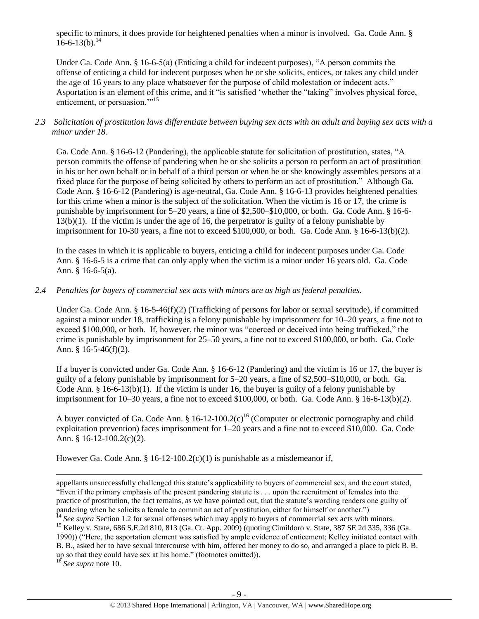specific to minors, it does provide for heightened penalties when a minor is involved. Ga. Code Ann. §  $16-6-13(b).$ <sup>14</sup>

Under Ga. Code Ann. § 16-6-5(a) (Enticing a child for indecent purposes), "A person commits the offense of enticing a child for indecent purposes when he or she solicits, entices, or takes any child under the age of 16 years to any place whatsoever for the purpose of child molestation or indecent acts." Asportation is an element of this crime, and it "is satisfied 'whether the "taking" involves physical force, enticement, or persuasion."<sup>15</sup>

# *2.3 Solicitation of prostitution laws differentiate between buying sex acts with an adult and buying sex acts with a minor under 18.*

Ga. Code Ann. § 16-6-12 (Pandering), the applicable statute for solicitation of prostitution, states, "A person commits the offense of pandering when he or she solicits a person to perform an act of prostitution in his or her own behalf or in behalf of a third person or when he or she knowingly assembles persons at a fixed place for the purpose of being solicited by others to perform an act of prostitution." Although Ga. Code Ann. § 16-6-12 (Pandering) is age-neutral, Ga. Code Ann. § 16-6-13 provides heightened penalties for this crime when a minor is the subject of the solicitation. When the victim is 16 or 17, the crime is punishable by imprisonment for 5–20 years, a fine of \$2,500–\$10,000, or both. Ga. Code Ann. § 16-6- 13(b)(1). If the victim is under the age of 16, the perpetrator is guilty of a felony punishable by imprisonment for 10-30 years, a fine not to exceed \$100,000, or both. Ga. Code Ann. § 16-6-13(b)(2).

In the cases in which it is applicable to buyers, enticing a child for indecent purposes under Ga. Code Ann. § 16-6-5 is a crime that can only apply when the victim is a minor under 16 years old. Ga. Code Ann. § 16-6-5(a).

# *2.4 Penalties for buyers of commercial sex acts with minors are as high as federal penalties.*

Under Ga. Code Ann. § 16-5-46(f)(2) (Trafficking of persons for labor or sexual servitude), if committed against a minor under 18, trafficking is a felony punishable by imprisonment for 10–20 years, a fine not to exceed \$100,000, or both. If, however, the minor was "coerced or deceived into being trafficked," the crime is punishable by imprisonment for 25–50 years, a fine not to exceed \$100,000, or both. Ga. Code Ann.  $§$  16-5-46(f)(2).

If a buyer is convicted under Ga. Code Ann. § 16-6-12 (Pandering) and the victim is 16 or 17, the buyer is guilty of a felony punishable by imprisonment for 5–20 years, a fine of \$2,500–\$10,000, or both. Ga. Code Ann. § 16-6-13(b)(1). If the victim is under 16, the buyer is guilty of a felony punishable by imprisonment for 10–30 years, a fine not to exceed \$100,000, or both. Ga. Code Ann. § 16-6-13(b)(2).

A buyer convicted of Ga. Code Ann. § 16-12-100.2(c)<sup>16</sup> (Computer or electronic pornography and child exploitation prevention) faces imprisonment for 1–20 years and a fine not to exceed \$10,000. Ga. Code Ann. § 16-12-100.2(c)(2).

However Ga. Code Ann. § 16-12-100.2(c)(1) is punishable as a misdemeanor if,

 $\overline{\phantom{a}}$ appellants unsuccessfully challenged this statute's applicability to buyers of commercial sex, and the court stated, "Even if the primary emphasis of the present pandering statute is . . . upon the recruitment of females into the practice of prostitution, the fact remains, as we have pointed out, that the statute's wording renders one guilty of pandering when he solicits a female to commit an act of prostitution, either for himself or another.")

<sup>15</sup> Kelley v. State, 686 S.E.2d 810, 813 (Ga. Ct. App. 2009) (quoting Cimildoro v. State, 387 SE 2d 335, 336 (Ga. 1990)) ("Here, the asportation element was satisfied by ample evidence of enticement; Kelley initiated contact with B. B., asked her to have sexual intercourse with him, offered her money to do so, and arranged a place to pick B. B. up so that they could have sex at his home." (footnotes omitted)).

<sup>16</sup> *See supra* note [10.](#page-4-0)

<sup>&</sup>lt;sup>14</sup> See supra Section 1.2 for sexual offenses which may apply to buyers of commercial sex acts with minors.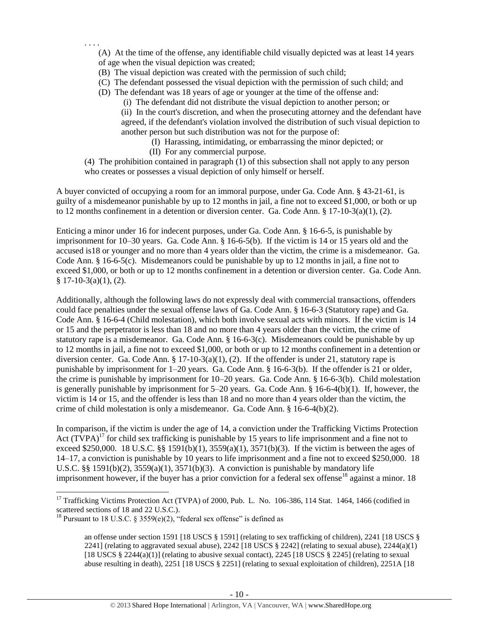(A) At the time of the offense, any identifiable child visually depicted was at least 14 years of age when the visual depiction was created;

(B) The visual depiction was created with the permission of such child;

(C) The defendant possessed the visual depiction with the permission of such child; and

(D) The defendant was 18 years of age or younger at the time of the offense and:

(i) The defendant did not distribute the visual depiction to another person; or

(ii) In the court's discretion, and when the prosecuting attorney and the defendant have agreed, if the defendant's violation involved the distribution of such visual depiction to another person but such distribution was not for the purpose of:

- (I) Harassing, intimidating, or embarrassing the minor depicted; or
- (II) For any commercial purpose.

. . . .

(4) The prohibition contained in paragraph (1) of this subsection shall not apply to any person who creates or possesses a visual depiction of only himself or herself.

A buyer convicted of occupying a room for an immoral purpose, under Ga. Code Ann. § 43-21-61, is guilty of a misdemeanor punishable by up to 12 months in jail, a fine not to exceed \$1,000, or both or up to 12 months confinement in a detention or diversion center. Ga. Code Ann. § 17-10-3(a)(1), (2).

Enticing a minor under 16 for indecent purposes, under Ga. Code Ann. § 16-6-5, is punishable by imprisonment for 10–30 years. Ga. Code Ann. § 16-6-5(b). If the victim is 14 or 15 years old and the accused is18 or younger and no more than 4 years older than the victim, the crime is a misdemeanor. Ga. Code Ann. § 16-6-5(c). Misdemeanors could be punishable by up to 12 months in jail, a fine not to exceed \$1,000, or both or up to 12 months confinement in a detention or diversion center. Ga. Code Ann.  $§ 17-10-3(a)(1), (2).$ 

Additionally, although the following laws do not expressly deal with commercial transactions, offenders could face penalties under the sexual offense laws of Ga. Code Ann. § 16-6-3 (Statutory rape) and Ga. Code Ann. § 16-6-4 (Child molestation), which both involve sexual acts with minors. If the victim is 14 or 15 and the perpetrator is less than 18 and no more than 4 years older than the victim, the crime of statutory rape is a misdemeanor. Ga. Code Ann. § 16-6-3(c). Misdemeanors could be punishable by up to 12 months in jail, a fine not to exceed \$1,000, or both or up to 12 months confinement in a detention or diversion center. Ga. Code Ann. § 17-10-3(a)(1), (2). If the offender is under 21, statutory rape is punishable by imprisonment for 1–20 years. Ga. Code Ann. § 16-6-3(b). If the offender is 21 or older, the crime is punishable by imprisonment for 10–20 years. Ga. Code Ann. § 16-6-3(b). Child molestation is generally punishable by imprisonment for 5–20 years. Ga. Code Ann. § 16-6-4(b)(1). If, however, the victim is 14 or 15, and the offender is less than 18 and no more than 4 years older than the victim, the crime of child molestation is only a misdemeanor. Ga. Code Ann. § 16-6-4(b)(2).

<span id="page-9-0"></span>In comparison, if the victim is under the age of 14, a conviction under the Trafficking Victims Protection Act  $(T\hat{V}PA)^{17}$  for child sex trafficking is punishable by 15 years to life imprisonment and a fine not to exceed \$250,000. 18 U.S.C. §§ 1591(b)(1),  $3559(a)(1)$ ,  $3571(b)(3)$ . If the victim is between the ages of 14–17, a conviction is punishable by 10 years to life imprisonment and a fine not to exceed \$250,000. 18 U.S.C.  $\S$ § 1591(b)(2), 3559(a)(1), 3571(b)(3). A conviction is punishable by mandatory life imprisonment however, if the buyer has a prior conviction for a federal sex offense<sup>18</sup> against a minor. 18

<sup>&</sup>lt;sup>17</sup> Trafficking Victims Protection Act (TVPA) of 2000, Pub. L. No. 106-386, 114 Stat. 1464, 1466 (codified in scattered sections of 18 and 22 U.S.C.).

<sup>&</sup>lt;sup>18</sup> Pursuant to 18 U.S.C. § 3559(e)(2), "federal sex offense" is defined as

<span id="page-9-1"></span>an offense under section 1591 [18 USCS § 1591] (relating to sex trafficking of children), 2241 [18 USCS § 2241] (relating to aggravated sexual abuse),  $2242$  [18 USCS § 2242] (relating to sexual abuse),  $2244(a)(1)$ [18 USCS  $\S 2244(a)(1)$ ] (relating to abusive sexual contact), 2245 [18 USCS  $\S 2245$ ] (relating to sexual abuse resulting in death), 2251 [18 USCS § 2251] (relating to sexual exploitation of children), 2251A [18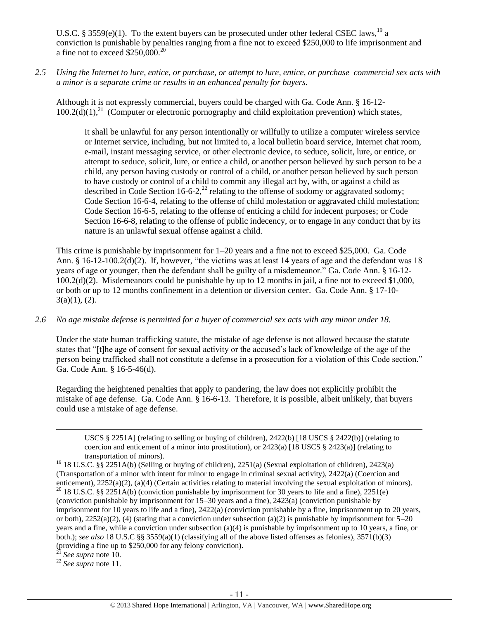U.S.C. § 3559(e)(1). To the extent buyers can be prosecuted under other federal CSEC laws, <sup>19</sup> a conviction is punishable by penalties ranging from a fine not to exceed \$250,000 to life imprisonment and a fine not to exceed  $$250,000.<sup>20</sup>$ 

*2.5 Using the Internet to lure, entice, or purchase, or attempt to lure, entice, or purchase commercial sex acts with a minor is a separate crime or results in an enhanced penalty for buyers.*

Although it is not expressly commercial, buyers could be charged with Ga. Code Ann. § 16-12-  $100.2(d)(1)$ ,<sup>21</sup> (Computer or electronic pornography and child exploitation prevention) which states,

It shall be unlawful for any person intentionally or willfully to utilize a computer wireless service or Internet service, including, but not limited to, a local bulletin board service, Internet chat room, e-mail, instant messaging service, or other electronic device, to seduce, solicit, lure, or entice, or attempt to seduce, solicit, lure, or entice a child, or another person believed by such person to be a child, any person having custody or control of a child, or another person believed by such person to have custody or control of a child to commit any illegal act by, with, or against a child as described in Code Section 16-6-2,<sup>22</sup> relating to the offense of sodomy or aggravated sodomy; Code Section 16-6-4, relating to the offense of child molestation or aggravated child molestation; Code Section 16-6-5, relating to the offense of enticing a child for indecent purposes; or Code Section 16-6-8, relating to the offense of public indecency, or to engage in any conduct that by its nature is an unlawful sexual offense against a child.

This crime is punishable by imprisonment for 1–20 years and a fine not to exceed \$25,000. Ga. Code Ann. § 16-12-100.2(d)(2). If, however, "the victims was at least 14 years of age and the defendant was 18 years of age or younger, then the defendant shall be guilty of a misdemeanor." Ga. Code Ann. § 16-12- 100.2(d)(2). Misdemeanors could be punishable by up to 12 months in jail, a fine not to exceed \$1,000, or both or up to 12 months confinement in a detention or diversion center. Ga. Code Ann. § 17-10-  $3(a)(1), (2).$ 

# *2.6 No age mistake defense is permitted for a buyer of commercial sex acts with any minor under 18.*

Under the state human trafficking statute, the mistake of age defense is not allowed because the statute states that "[t]he age of consent for sexual activity or the accused's lack of knowledge of the age of the person being trafficked shall not constitute a defense in a prosecution for a violation of this Code section." Ga. Code Ann. § 16-5-46(d).

Regarding the heightened penalties that apply to pandering, the law does not explicitly prohibit the mistake of age defense. Ga. Code Ann. § 16-6-13. Therefore, it is possible, albeit unlikely, that buyers could use a mistake of age defense.

<sup>21</sup> *See supra* note [10.](#page-4-0)

l

<sup>22</sup> *See supra* note [11.](#page-5-0)

USCS § 2251A] (relating to selling or buying of children), 2422(b) [18 USCS § 2422(b)] (relating to coercion and enticement of a minor into prostitution), or  $2423(a)$  [18 USCS §  $2423(a)$ ] (relating to transportation of minors).

<sup>19</sup> 18 U.S.C. §§ 2251A(b) (Selling or buying of children), 2251(a) (Sexual exploitation of children), 2423(a) (Transportation of a minor with intent for minor to engage in criminal sexual activity), 2422(a) (Coercion and enticement), 2252(a)(2), (a)(4) (Certain activities relating to material involving the sexual exploitation of minors). <sup>20</sup> 18 U.S.C. §§ 2251A(b) (conviction punishable by imprisonment for 30 years to life and a fine), 2251(e) (conviction punishable by imprisonment for 15–30 years and a fine), 2423(a) (conviction punishable by imprisonment for 10 years to life and a fine), 2422(a) (conviction punishable by a fine, imprisonment up to 20 years, or both),  $2252(a)(2)$ , (4) (stating that a conviction under subsection (a)(2) is punishable by imprisonment for  $5-20$ years and a fine, while a conviction under subsection (a)(4) is punishable by imprisonment up to 10 years, a fine, or both.); *see also* 18 U.S.C §§ 3559(a)(1) (classifying all of the above listed offenses as felonies), 3571(b)(3) (providing a fine up to \$250,000 for any felony conviction).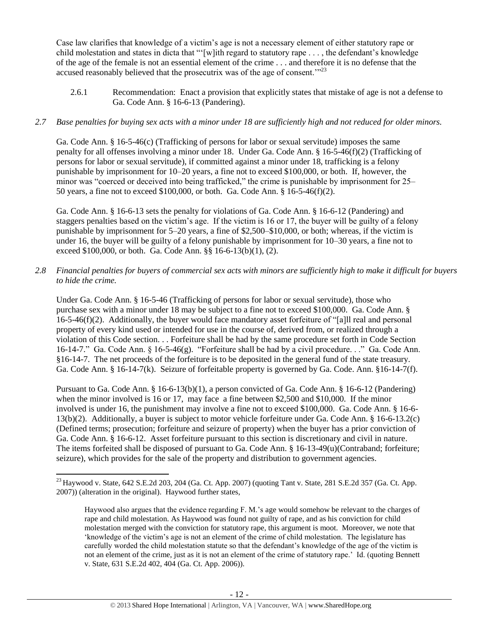Case law clarifies that knowledge of a victim's age is not a necessary element of either statutory rape or child molestation and states in dicta that "'[w]ith regard to statutory rape . . . , the defendant's knowledge of the age of the female is not an essential element of the crime . . . and therefore it is no defense that the accused reasonably believed that the prosecutrix was of the age of consent."<sup>23</sup>

2.6.1 Recommendation: Enact a provision that explicitly states that mistake of age is not a defense to Ga. Code Ann. § 16-6-13 (Pandering).

# *2.7 Base penalties for buying sex acts with a minor under 18 are sufficiently high and not reduced for older minors.*

Ga. Code Ann. § 16-5-46(c) (Trafficking of persons for labor or sexual servitude) imposes the same penalty for all offenses involving a minor under 18. Under Ga. Code Ann. § 16-5-46(f)(2) (Trafficking of persons for labor or sexual servitude), if committed against a minor under 18, trafficking is a felony punishable by imprisonment for 10–20 years, a fine not to exceed \$100,000, or both. If, however, the minor was "coerced or deceived into being trafficked," the crime is punishable by imprisonment for 25– 50 years, a fine not to exceed \$100,000, or both. Ga. Code Ann. § 16-5-46(f)(2).

Ga. Code Ann. § 16-6-13 sets the penalty for violations of Ga. Code Ann. § 16-6-12 (Pandering) and staggers penalties based on the victim's age. If the victim is 16 or 17, the buyer will be guilty of a felony punishable by imprisonment for 5–20 years, a fine of \$2,500–\$10,000, or both; whereas, if the victim is under 16, the buyer will be guilty of a felony punishable by imprisonment for 10–30 years, a fine not to exceed \$100,000, or both. Ga. Code Ann. §§ 16-6-13(b)(1), (2).

*2.8 Financial penalties for buyers of commercial sex acts with minors are sufficiently high to make it difficult for buyers to hide the crime.*

Under Ga. Code Ann. § 16-5-46 (Trafficking of persons for labor or sexual servitude), those who purchase sex with a minor under 18 may be subject to a fine not to exceed \$100,000. Ga. Code Ann. § 16-5-46(f)(2). Additionally, the buyer would face mandatory asset forfeiture of "[a]ll real and personal property of every kind used or intended for use in the course of, derived from, or realized through a violation of this Code section. . . Forfeiture shall be had by the same procedure set forth in Code Section 16-14-7." Ga. Code Ann. § 16-5-46(g). "Forfeiture shall be had by a civil procedure. . ." Ga. Code Ann. §16-14-7. The net proceeds of the forfeiture is to be deposited in the general fund of the state treasury. Ga. Code Ann. § 16-14-7(k). Seizure of forfeitable property is governed by Ga. Code. Ann. §16-14-7(f).

Pursuant to Ga. Code Ann. § 16-6-13(b)(1), a person convicted of Ga. Code Ann. § 16-6-12 (Pandering) when the minor involved is 16 or 17, may face a fine between \$2,500 and \$10,000. If the minor involved is under 16, the punishment may involve a fine not to exceed \$100,000. Ga. Code Ann. § 16-6- 13(b)(2). Additionally, a buyer is subject to motor vehicle forfeiture under Ga. Code Ann. § 16-6-13.2(c) (Defined terms; prosecution; forfeiture and seizure of property) when the buyer has a prior conviction of Ga. Code Ann. § 16-6-12. Asset forfeiture pursuant to this section is discretionary and civil in nature. The items forfeited shall be disposed of pursuant to Ga. Code Ann. § 16-13-49(u)(Contraband; forfeiture; seizure), which provides for the sale of the property and distribution to government agencies.

 $\overline{\phantom{a}}$  $^{23}$ Haywood v. State, 642 S.E.2d 203, 204 (Ga. Ct. App. 2007) (quoting Tant v. State, 281 S.E.2d 357 (Ga. Ct. App. 2007)) (alteration in the original). Haywood further states,

Haywood also argues that the evidence regarding F. M.'s age would somehow be relevant to the charges of rape and child molestation. As Haywood was found not guilty of rape, and as his conviction for child molestation merged with the conviction for statutory rape, this argument is moot. Moreover, we note that 'knowledge of the victim's age is not an element of the crime of child molestation. The legislature has carefully worded the child molestation statute so that the defendant's knowledge of the age of the victim is not an element of the crime, just as it is not an element of the crime of statutory rape.' Id. (quoting Bennett v. State, 631 S.E.2d 402, 404 (Ga. Ct. App. 2006)).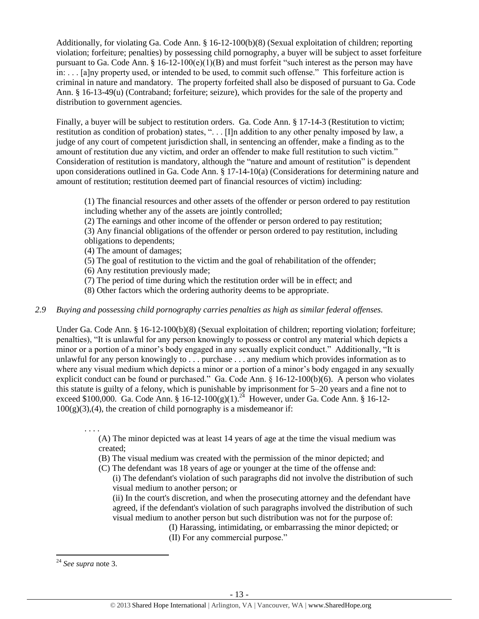Additionally, for violating Ga. Code Ann. § 16-12-100(b)(8) (Sexual exploitation of children; reporting violation; forfeiture; penalties) by possessing child pornography, a buyer will be subject to asset forfeiture pursuant to Ga. Code Ann. § 16-12-100(e)(1)(B) and must forfeit "such interest as the person may have in: . . . [a]ny property used, or intended to be used, to commit such offense." This forfeiture action is criminal in nature and mandatory. The property forfeited shall also be disposed of pursuant to Ga. Code Ann. § 16-13-49(u) (Contraband; forfeiture; seizure), which provides for the sale of the property and distribution to government agencies.

Finally, a buyer will be subject to restitution orders. Ga. Code Ann. § 17-14-3 (Restitution to victim; restitution as condition of probation) states, ". . . [I]n addition to any other penalty imposed by law, a judge of any court of competent jurisdiction shall, in sentencing an offender, make a finding as to the amount of restitution due any victim, and order an offender to make full restitution to such victim." Consideration of restitution is mandatory, although the "nature and amount of restitution" is dependent upon considerations outlined in Ga. Code Ann. § 17-14-10(a) (Considerations for determining nature and amount of restitution; restitution deemed part of financial resources of victim) including:

(1) The financial resources and other assets of the offender or person ordered to pay restitution including whether any of the assets are jointly controlled;

(2) The earnings and other income of the offender or person ordered to pay restitution;

(3) Any financial obligations of the offender or person ordered to pay restitution, including obligations to dependents;

- (4) The amount of damages;
- (5) The goal of restitution to the victim and the goal of rehabilitation of the offender;
- (6) Any restitution previously made;
- (7) The period of time during which the restitution order will be in effect; and
- (8) Other factors which the ordering authority deems to be appropriate.

# *2.9 Buying and possessing child pornography carries penalties as high as similar federal offenses.*

Under Ga. Code Ann. § 16-12-100(b)(8) (Sexual exploitation of children; reporting violation; forfeiture; penalties), "It is unlawful for any person knowingly to possess or control any material which depicts a minor or a portion of a minor's body engaged in any sexually explicit conduct." Additionally, "It is unlawful for any person knowingly to . . . purchase . . . any medium which provides information as to where any visual medium which depicts a minor or a portion of a minor's body engaged in any sexually explicit conduct can be found or purchased." Ga. Code Ann. § 16-12-100(b)(6). A person who violates this statute is guilty of a felony, which is punishable by imprisonment for 5–20 years and a fine not to exceed \$100,000. Ga. Code Ann. §  $16-12-100(g)(1)$ .<sup>24</sup> However, under Ga. Code Ann. § 16-12- $100(g)(3),(4)$ , the creation of child pornography is a misdemeanor if:

. . . .

(A) The minor depicted was at least 14 years of age at the time the visual medium was created;

(B) The visual medium was created with the permission of the minor depicted; and

- (C) The defendant was 18 years of age or younger at the time of the offense and:
	- (i) The defendant's violation of such paragraphs did not involve the distribution of such visual medium to another person; or

(ii) In the court's discretion, and when the prosecuting attorney and the defendant have agreed, if the defendant's violation of such paragraphs involved the distribution of such visual medium to another person but such distribution was not for the purpose of:

(I) Harassing, intimidating, or embarrassing the minor depicted; or

(II) For any commercial purpose."

<sup>24</sup> *See supra* note [3.](#page-2-0)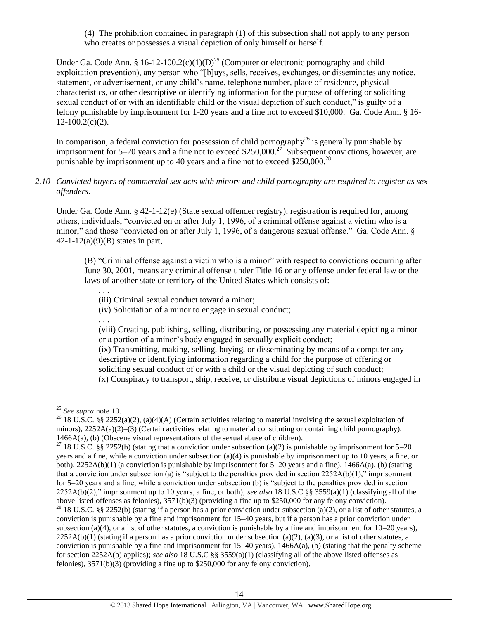(4) The prohibition contained in paragraph (1) of this subsection shall not apply to any person who creates or possesses a visual depiction of only himself or herself.

Under Ga. Code Ann. § 16-12-100.2(c)(1)(D)<sup>25</sup> (Computer or electronic pornography and child exploitation prevention), any person who "[b]uys, sells, receives, exchanges, or disseminates any notice, statement, or advertisement, or any child's name, telephone number, place of residence, physical characteristics, or other descriptive or identifying information for the purpose of offering or soliciting sexual conduct of or with an identifiable child or the visual depiction of such conduct," is guilty of a felony punishable by imprisonment for 1-20 years and a fine not to exceed \$10,000. Ga. Code Ann. § 16-  $12-100.2(c)(2)$ .

In comparison, a federal conviction for possession of child pornography<sup>26</sup> is generally punishable by imprisonment for 5–20 years and a fine not to exceed \$250,000.<sup>27</sup> Subsequent convictions, however, are punishable by imprisonment up to 40 years and a fine not to exceed \$250,000.<sup>28</sup>

# *2.10 Convicted buyers of commercial sex acts with minors and child pornography are required to register as sex offenders.*

Under Ga. Code Ann. § 42-1-12(e) (State sexual offender registry), registration is required for, among others, individuals, "convicted on or after July 1, 1996, of a criminal offense against a victim who is a minor;" and those "convicted on or after July 1, 1996, of a dangerous sexual offense." Ga. Code Ann. § 42-1-12(a)(9)(B) states in part,

(B) "Criminal offense against a victim who is a minor" with respect to convictions occurring after June 30, 2001, means any criminal offense under Title 16 or any offense under federal law or the laws of another state or territory of the United States which consists of:

(iii) Criminal sexual conduct toward a minor;

(iv) Solicitation of a minor to engage in sexual conduct;

(viii) Creating, publishing, selling, distributing, or possessing any material depicting a minor or a portion of a minor's body engaged in sexually explicit conduct;

(ix) Transmitting, making, selling, buying, or disseminating by means of a computer any descriptive or identifying information regarding a child for the purpose of offering or soliciting sexual conduct of or with a child or the visual depicting of such conduct; (x) Conspiracy to transport, ship, receive, or distribute visual depictions of minors engaged in

 $\overline{a}$ 

. . .

. . .

<sup>28</sup> 18 U.S.C. §§ 2252(b) (stating if a person has a prior conviction under subsection (a)(2), or a list of other statutes, a conviction is punishable by a fine and imprisonment for 15–40 years, but if a person has a prior conviction under subsection (a)(4), or a list of other statutes, a conviction is punishable by a fine and imprisonment for  $10-20$  years),  $2252A(b)(1)$  (stating if a person has a prior conviction under subsection (a)(2), (a)(3), or a list of other statutes, a conviction is punishable by a fine and imprisonment for  $15-40$  years),  $1466A(a)$ , (b) (stating that the penalty scheme for section 2252A(b) applies); *see also* 18 U.S.C §§ 3559(a)(1) (classifying all of the above listed offenses as felonies), 3571(b)(3) (providing a fine up to \$250,000 for any felony conviction).

<sup>25</sup> *See supra* note [10.](#page-4-0)

<sup>&</sup>lt;sup>26</sup> 18 U.S.C. §§ 2252(a)(2), (a)(4)(A) (Certain activities relating to material involving the sexual exploitation of minors), 2252A(a)(2)–(3) (Certain activities relating to material constituting or containing child pornography), 1466A(a), (b) (Obscene visual representations of the sexual abuse of children).

<sup>&</sup>lt;sup>27</sup> 18 U.S.C. §§ 2252(b) (stating that a conviction under subsection (a)(2) is punishable by imprisonment for 5–20 years and a fine, while a conviction under subsection (a)(4) is punishable by imprisonment up to 10 years, a fine, or both), 2252A(b)(1) (a conviction is punishable by imprisonment for 5–20 years and a fine), 1466A(a), (b) (stating that a conviction under subsection (a) is "subject to the penalties provided in section  $2252A(b)(1)$ ," imprisonment for 5–20 years and a fine, while a conviction under subsection (b) is "subject to the penalties provided in section 2252A(b)(2)," imprisonment up to 10 years, a fine, or both); *see also* 18 U.S.C §§ 3559(a)(1) (classifying all of the above listed offenses as felonies), 3571(b)(3) (providing a fine up to \$250,000 for any felony conviction).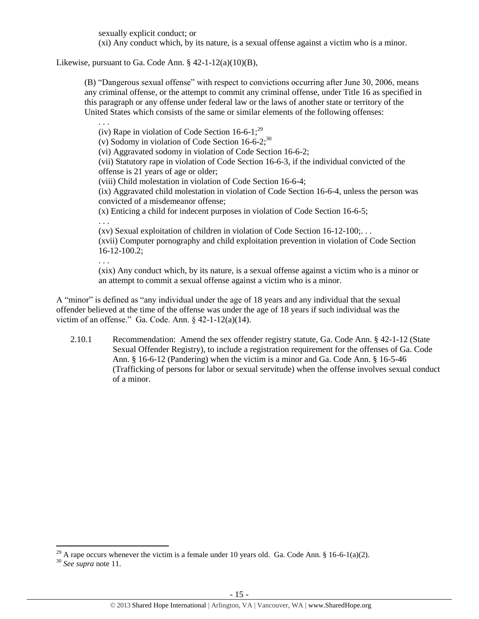sexually explicit conduct; or

(xi) Any conduct which, by its nature, is a sexual offense against a victim who is a minor.

Likewise, pursuant to Ga. Code Ann.  $\S$  42-1-12(a)(10)(B),

<span id="page-14-0"></span>. . .

(B) "Dangerous sexual offense" with respect to convictions occurring after June 30, 2006, means any criminal offense, or the attempt to commit any criminal offense, under Title 16 as specified in this paragraph or any offense under federal law or the laws of another state or territory of the United States which consists of the same or similar elements of the following offenses:

(iv) Rape in violation of Code Section  $16-6-1$ ;<sup>29</sup> (v) Sodomy in violation of Code Section  $16-6-2$ ;<sup>30</sup> (vi) Aggravated sodomy in violation of Code Section 16-6-2; (vii) Statutory rape in violation of Code Section 16-6-3, if the individual convicted of the offense is 21 years of age or older; (viii) Child molestation in violation of Code Section 16-6-4; (ix) Aggravated child molestation in violation of Code Section 16-6-4, unless the person was convicted of a misdemeanor offense; (x) Enticing a child for indecent purposes in violation of Code Section 16-6-5; . . . (xv) Sexual exploitation of children in violation of Code Section 16-12-100;. . . (xvii) Computer pornography and child exploitation prevention in violation of Code Section 16-12-100.2; . . .

(xix) Any conduct which, by its nature, is a sexual offense against a victim who is a minor or an attempt to commit a sexual offense against a victim who is a minor.

A "minor" is defined as "any individual under the age of 18 years and any individual that the sexual offender believed at the time of the offense was under the age of 18 years if such individual was the victim of an offense." Ga. Code. Ann.  $\frac{242-1-12(a)(14)}{2}$ .

2.10.1 Recommendation: Amend the sex offender registry statute, Ga. Code Ann. § 42-1-12 (State Sexual Offender Registry), to include a registration requirement for the offenses of Ga. Code Ann. § 16-6-12 (Pandering) when the victim is a minor and Ga. Code Ann. § 16-5-46 (Trafficking of persons for labor or sexual servitude) when the offense involves sexual conduct of a minor.

<sup>&</sup>lt;sup>29</sup> A rape occurs whenever the victim is a female under 10 years old. Ga. Code Ann. § 16-6-1(a)(2).

<sup>30</sup> *See supra* note [11.](#page-5-0)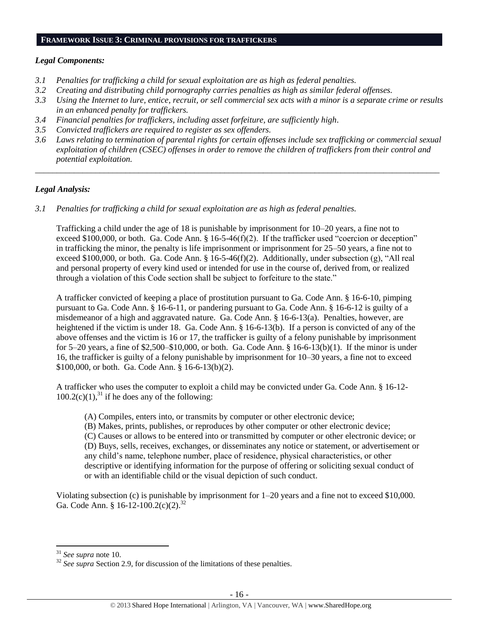#### **FRAMEWORK ISSUE 3: CRIMINAL PROVISIONS FOR TRAFFICKERS**

# *Legal Components:*

- *3.1 Penalties for trafficking a child for sexual exploitation are as high as federal penalties.*
- *3.2 Creating and distributing child pornography carries penalties as high as similar federal offenses.*
- *3.3 Using the Internet to lure, entice, recruit, or sell commercial sex acts with a minor is a separate crime or results in an enhanced penalty for traffickers.*
- *3.4 Financial penalties for traffickers, including asset forfeiture, are sufficiently high*.
- *3.5 Convicted traffickers are required to register as sex offenders.*
- *3.6 Laws relating to termination of parental rights for certain offenses include sex trafficking or commercial sexual exploitation of children (CSEC) offenses in order to remove the children of traffickers from their control and potential exploitation.*

*\_\_\_\_\_\_\_\_\_\_\_\_\_\_\_\_\_\_\_\_\_\_\_\_\_\_\_\_\_\_\_\_\_\_\_\_\_\_\_\_\_\_\_\_\_\_\_\_\_\_\_\_\_\_\_\_\_\_\_\_\_\_\_\_\_\_\_\_\_\_\_\_\_\_\_\_\_\_\_\_\_\_\_\_\_\_\_\_\_\_\_\_\_\_*

# *Legal Analysis:*

*3.1 Penalties for trafficking a child for sexual exploitation are as high as federal penalties.* 

Trafficking a child under the age of 18 is punishable by imprisonment for 10–20 years, a fine not to exceed \$100,000, or both. Ga. Code Ann. § 16-5-46(f)(2). If the trafficker used "coercion or deception" in trafficking the minor, the penalty is life imprisonment or imprisonment for 25–50 years, a fine not to exceed \$100,000, or both. Ga. Code Ann. § 16-5-46(f)(2). Additionally, under subsection (g), "All real and personal property of every kind used or intended for use in the course of, derived from, or realized through a violation of this Code section shall be subject to forfeiture to the state."

A trafficker convicted of keeping a place of prostitution pursuant to Ga. Code Ann. § 16-6-10, pimping pursuant to Ga. Code Ann. § 16-6-11, or pandering pursuant to Ga. Code Ann. § 16-6-12 is guilty of a misdemeanor of a high and aggravated nature. Ga. Code Ann. § 16-6-13(a). Penalties, however, are heightened if the victim is under 18. Ga. Code Ann. § 16-6-13(b). If a person is convicted of any of the above offenses and the victim is 16 or 17, the trafficker is guilty of a felony punishable by imprisonment for 5–20 years, a fine of \$2,500–\$10,000, or both. Ga. Code Ann. § 16-6-13(b)(1). If the minor is under 16, the trafficker is guilty of a felony punishable by imprisonment for 10–30 years, a fine not to exceed \$100,000, or both. Ga. Code Ann. § 16-6-13(b)(2).

A trafficker who uses the computer to exploit a child may be convicted under Ga. Code Ann. § 16-12-  $100.2(c)(1)$ ,<sup>31</sup> if he does any of the following:

- (A) Compiles, enters into, or transmits by computer or other electronic device;
- (B) Makes, prints, publishes, or reproduces by other computer or other electronic device;

(C) Causes or allows to be entered into or transmitted by computer or other electronic device; or (D) Buys, sells, receives, exchanges, or disseminates any notice or statement, or advertisement or any child's name, telephone number, place of residence, physical characteristics, or other descriptive or identifying information for the purpose of offering or soliciting sexual conduct of or with an identifiable child or the visual depiction of such conduct.

Violating subsection (c) is punishable by imprisonment for 1–20 years and a fine not to exceed \$10,000. Ga. Code Ann. § 16-12-100.2(c)(2).<sup>32</sup>

<sup>31</sup> *See supra* note [10.](#page-4-0)

<sup>&</sup>lt;sup>32</sup> *See supra* Section 2.9, for discussion of the limitations of these penalties.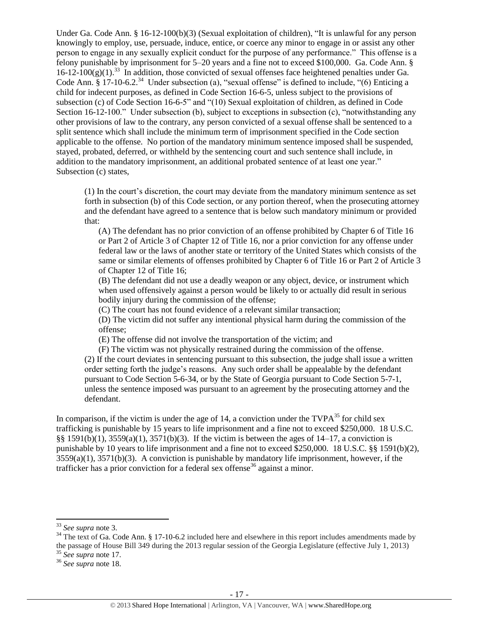Under Ga. Code Ann. § 16-12-100(b)(3) (Sexual exploitation of children), "It is unlawful for any person knowingly to employ, use, persuade, induce, entice, or coerce any minor to engage in or assist any other person to engage in any sexually explicit conduct for the purpose of any performance." This offense is a felony punishable by imprisonment for 5–20 years and a fine not to exceed \$100,000. Ga. Code Ann. §  $16-12-100(g)(1)$ .<sup>33</sup> In addition, those convicted of sexual offenses face heightened penalties under Ga. Code Ann. § 17-10-6.2.<sup>34</sup> Under subsection (a), "sexual offense" is defined to include, "(6) Enticing a child for indecent purposes, as defined in Code Section 16-6-5, unless subject to the provisions of subsection (c) of Code Section 16-6-5" and "(10) Sexual exploitation of children, as defined in Code Section 16-12-100." Under subsection (b), subject to exceptions in subsection (c), "notwithstanding any other provisions of law to the contrary, any person convicted of a sexual offense shall be sentenced to a split sentence which shall include the minimum term of imprisonment specified in the Code section applicable to the offense. No portion of the mandatory minimum sentence imposed shall be suspended, stayed, probated, deferred, or withheld by the sentencing court and such sentence shall include, in addition to the mandatory imprisonment, an additional probated sentence of at least one year." Subsection (c) states,

(1) In the court's discretion, the court may deviate from the mandatory minimum sentence as set forth in subsection (b) of this Code section, or any portion thereof, when the prosecuting attorney and the defendant have agreed to a sentence that is below such mandatory minimum or provided that:

(A) The defendant has no prior conviction of an offense prohibited by Chapter 6 of Title 16 or Part 2 of Article 3 of Chapter 12 of Title 16, nor a prior conviction for any offense under federal law or the laws of another state or territory of the United States which consists of the same or similar elements of offenses prohibited by Chapter 6 of Title 16 or Part 2 of Article 3 of Chapter 12 of Title 16;

(B) The defendant did not use a deadly weapon or any object, device, or instrument which when used offensively against a person would be likely to or actually did result in serious bodily injury during the commission of the offense;

(C) The court has not found evidence of a relevant similar transaction;

(D) The victim did not suffer any intentional physical harm during the commission of the offense;

(E) The offense did not involve the transportation of the victim; and

(F) The victim was not physically restrained during the commission of the offense. (2) If the court deviates in sentencing pursuant to this subsection, the judge shall issue a written order setting forth the judge's reasons. Any such order shall be appealable by the defendant pursuant to Code Section 5-6-34, or by the State of Georgia pursuant to Code Section 5-7-1, unless the sentence imposed was pursuant to an agreement by the prosecuting attorney and the defendant.

In comparison, if the victim is under the age of 14, a conviction under the  $TVPA^{35}$  for child sex trafficking is punishable by 15 years to life imprisonment and a fine not to exceed \$250,000. 18 U.S.C. §§ 1591(b)(1), 3559(a)(1), 3571(b)(3). If the victim is between the ages of 14–17, a conviction is punishable by 10 years to life imprisonment and a fine not to exceed \$250,000. 18 U.S.C. §§ 1591(b)(2),  $3559(a)(1)$ ,  $3571(b)(3)$ . A conviction is punishable by mandatory life imprisonment, however, if the trafficker has a prior conviction for a federal sex offense<sup>36</sup> against a minor.

<sup>33</sup> *See supra* note [3.](#page-2-0)

 $34$  The text of Ga. Code Ann. § 17-10-6.2 included here and elsewhere in this report includes amendments made by the passage of House Bill 349 during the 2013 regular session of the Georgia Legislature (effective July 1, 2013) <sup>35</sup> *See supra* note [17.](#page-9-0)

<sup>36</sup> *See supra* note [18.](#page-9-1)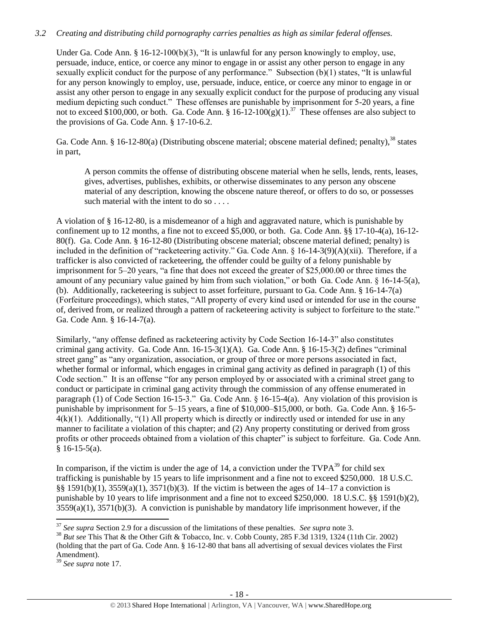# *3.2 Creating and distributing child pornography carries penalties as high as similar federal offenses.*

Under Ga. Code Ann. § 16-12-100(b)(3), "It is unlawful for any person knowingly to employ, use, persuade, induce, entice, or coerce any minor to engage in or assist any other person to engage in any sexually explicit conduct for the purpose of any performance." Subsection (b)(1) states, "It is unlawful for any person knowingly to employ, use, persuade, induce, entice, or coerce any minor to engage in or assist any other person to engage in any sexually explicit conduct for the purpose of producing any visual medium depicting such conduct." These offenses are punishable by imprisonment for 5-20 years, a fine not to exceed \$100,000, or both. Ga. Code Ann.  $$16-12-100(g)(1).^{37}$  These offenses are also subject to the provisions of Ga. Code Ann. § 17-10-6.2.

Ga. Code Ann. § 16-12-80(a) (Distributing obscene material; obscene material defined; penalty),<sup>38</sup> states in part,

A person commits the offense of distributing obscene material when he sells, lends, rents, leases, gives, advertises, publishes, exhibits, or otherwise disseminates to any person any obscene material of any description, knowing the obscene nature thereof, or offers to do so, or possesses such material with the intent to do so . . . .

A violation of § 16-12-80, is a misdemeanor of a high and aggravated nature, which is punishable by confinement up to 12 months, a fine not to exceed \$5,000, or both. Ga. Code Ann. §§ 17-10-4(a), 16-12- 80(f). Ga. Code Ann. § 16-12-80 (Distributing obscene material; obscene material defined; penalty) is included in the definition of "racketeering activity." Ga. Code Ann. § 16-14-3(9)(A)(xii). Therefore, if a trafficker is also convicted of racketeering, the offender could be guilty of a felony punishable by imprisonment for 5–20 years, "a fine that does not exceed the greater of \$25,000.00 or three times the amount of any pecuniary value gained by him from such violation," or both Ga. Code Ann. § 16-14-5(a), (b). Additionally, racketeering is subject to asset forfeiture, pursuant to Ga. Code Ann. § 16-14-7(a) (Forfeiture proceedings), which states, "All property of every kind used or intended for use in the course of, derived from, or realized through a pattern of racketeering activity is subject to forfeiture to the state." Ga. Code Ann. § 16-14-7(a).

Similarly, "any offense defined as racketeering activity by Code Section 16-14-3" also constitutes criminal gang activity. Ga. Code Ann. 16-15-3(1)(A). Ga. Code Ann. § 16-15-3(2) defines "criminal street gang" as "any organization, association, or group of three or more persons associated in fact, whether formal or informal, which engages in criminal gang activity as defined in paragraph (1) of this Code section." It is an offense "for any person employed by or associated with a criminal street gang to conduct or participate in criminal gang activity through the commission of any offense enumerated in paragraph (1) of Code Section 16-15-3." Ga. Code Ann. § 16-15-4(a). Any violation of this provision is punishable by imprisonment for 5–15 years, a fine of \$10,000–\$15,000, or both. Ga. Code Ann. § 16-5-  $4(k)(1)$ . Additionally, "(1) All property which is directly or indirectly used or intended for use in any manner to facilitate a violation of this chapter; and (2) Any property constituting or derived from gross profits or other proceeds obtained from a violation of this chapter" is subject to forfeiture. Ga. Code Ann.  $§ 16-15-5(a).$ 

In comparison, if the victim is under the age of 14, a conviction under the  $TVPA<sup>39</sup>$  for child sex trafficking is punishable by 15 years to life imprisonment and a fine not to exceed \$250,000. 18 U.S.C. §§ 1591(b)(1), 3559(a)(1), 3571(b)(3). If the victim is between the ages of 14–17 a conviction is punishable by 10 years to life imprisonment and a fine not to exceed \$250,000. 18 U.S.C. §§ 1591(b)(2),  $3559(a)(1)$ ,  $3571(b)(3)$ . A conviction is punishable by mandatory life imprisonment however, if the

<sup>37</sup> *See supra* Section 2.9 for a discussion of the limitations of these penalties. *See supra* not[e 3.](#page-2-0)

<sup>&</sup>lt;sup>38</sup> *But see* This That & the Other Gift & Tobacco, Inc. v. Cobb County, 285 F.3d 1319, 1324 (11th Cir. 2002) (holding that the part of Ga. Code Ann. § 16-12-80 that bans all advertising of sexual devices violates the First Amendment).

<sup>39</sup> *See supra* note [17.](#page-9-0)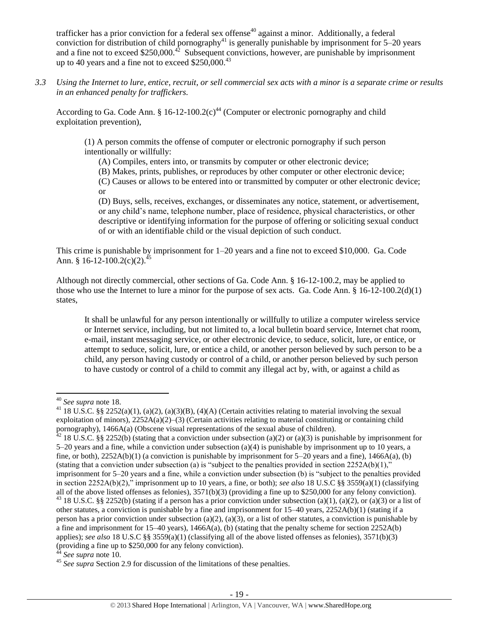trafficker has a prior conviction for a federal sex offense<sup>40</sup> against a minor. Additionally, a federal conviction for distribution of child pornography<sup>41</sup> is generally punishable by imprisonment for  $5-20$  years and a fine not to exceed \$250,000.<sup>42</sup> Subsequent convictions, however, are punishable by imprisonment up to 40 years and a fine not to exceed  $$250,000.<sup>43</sup>$ 

*3.3 Using the Internet to lure, entice, recruit, or sell commercial sex acts with a minor is a separate crime or results in an enhanced penalty for traffickers.*

According to Ga. Code Ann. § 16-12-100.2(c)<sup>44</sup> (Computer or electronic pornography and child exploitation prevention),

(1) A person commits the offense of computer or electronic pornography if such person intentionally or willfully:

(A) Compiles, enters into, or transmits by computer or other electronic device;

(B) Makes, prints, publishes, or reproduces by other computer or other electronic device;

(C) Causes or allows to be entered into or transmitted by computer or other electronic device; or

(D) Buys, sells, receives, exchanges, or disseminates any notice, statement, or advertisement, or any child's name, telephone number, place of residence, physical characteristics, or other descriptive or identifying information for the purpose of offering or soliciting sexual conduct of or with an identifiable child or the visual depiction of such conduct.

This crime is punishable by imprisonment for 1–20 years and a fine not to exceed \$10,000. Ga. Code Ann. § 16-12-100.2(c)(2).<sup>45</sup>

Although not directly commercial, other sections of Ga. Code Ann. § 16-12-100.2, may be applied to those who use the Internet to lure a minor for the purpose of sex acts. Ga. Code Ann.  $\S 16-12-100.2(d)(1)$ states,

It shall be unlawful for any person intentionally or willfully to utilize a computer wireless service or Internet service, including, but not limited to, a local bulletin board service, Internet chat room, e-mail, instant messaging service, or other electronic device, to seduce, solicit, lure, or entice, or attempt to seduce, solicit, lure, or entice a child, or another person believed by such person to be a child, any person having custody or control of a child, or another person believed by such person to have custody or control of a child to commit any illegal act by, with, or against a child as

l <sup>40</sup> *See supra* note [18.](#page-9-1)

<sup>&</sup>lt;sup>41</sup> 18 U.S.C. §§ 2252(a)(1), (a)(2), (a)(3)(B), (4)(A) (Certain activities relating to material involving the sexual exploitation of minors),  $2252A(a)(2)-(3)$  (Certain activities relating to material constituting or containing child pornography), 1466A(a) (Obscene visual representations of the sexual abuse of children).

 $42$  18 U.S.C. §§ 2252(b) (stating that a conviction under subsection (a)(2) or (a)(3) is punishable by imprisonment for 5–20 years and a fine, while a conviction under subsection (a)(4) is punishable by imprisonment up to 10 years, a fine, or both),  $2252A(b)(1)$  (a conviction is punishable by imprisonment for 5–20 years and a fine), 1466A(a), (b) (stating that a conviction under subsection (a) is "subject to the penalties provided in section  $2252A(b)(1)$ ," imprisonment for 5–20 years and a fine, while a conviction under subsection (b) is "subject to the penalties provided in section 2252A(b)(2)," imprisonment up to 10 years, a fine, or both); *see also* 18 U.S.C §§ 3559(a)(1) (classifying all of the above listed offenses as felonies),  $3571(b)(3)$  (providing a fine up to \$250,000 for any felony conviction). <sup>43</sup> 18 U.S.C. §§ 2252(b) (stating if a person has a prior conviction under subsection (a)(1), (a)(2), or (a)(3) or a list of other statutes, a conviction is punishable by a fine and imprisonment for  $15-40$  years,  $2252A(b)(1)$  (stating if a person has a prior conviction under subsection (a)(2), (a)(3), or a list of other statutes, a conviction is punishable by a fine and imprisonment for  $15-40$  years),  $1466A(a)$ , (b) (stating that the penalty scheme for section  $2252A(b)$ applies); *see also* 18 U.S.C §§ 3559(a)(1) (classifying all of the above listed offenses as felonies), 3571(b)(3) (providing a fine up to \$250,000 for any felony conviction).

<sup>&</sup>lt;sup>4</sup> See supra note [10.](#page-4-0)

<sup>&</sup>lt;sup>45</sup> See supra Section 2.9 for discussion of the limitations of these penalties.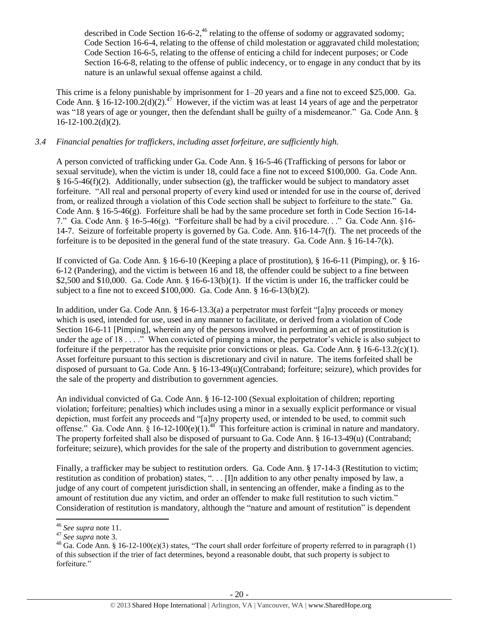described in Code Section 16-6-2,<sup>46</sup> relating to the offense of sodomy or aggravated sodomy; Code Section 16-6-4, relating to the offense of child molestation or aggravated child molestation; Code Section 16-6-5, relating to the offense of enticing a child for indecent purposes; or Code Section 16-6-8, relating to the offense of public indecency, or to engage in any conduct that by its nature is an unlawful sexual offense against a child.

This crime is a felony punishable by imprisonment for 1–20 years and a fine not to exceed \$25,000. Ga. Code Ann. § 16-12-100.2(d)(2).<sup>47</sup> However, if the victim was at least 14 years of age and the perpetrator was "18 years of age or younger, then the defendant shall be guilty of a misdemeanor." Ga. Code Ann. § 16-12-100.2(d)(2).

# *3.4 Financial penalties for traffickers, including asset forfeiture, are sufficiently high.*

A person convicted of trafficking under Ga. Code Ann. § 16-5-46 (Trafficking of persons for labor or sexual servitude), when the victim is under 18, could face a fine not to exceed \$100,000. Ga. Code Ann.  $§$  16-5-46(f)(2). Additionally, under subsection (g), the trafficker would be subject to mandatory asset forfeiture. "All real and personal property of every kind used or intended for use in the course of, derived from, or realized through a violation of this Code section shall be subject to forfeiture to the state." Ga. Code Ann. § 16-5-46(g). Forfeiture shall be had by the same procedure set forth in Code Section 16-14- 7." Ga. Code Ann. § 16-5-46(g). "Forfeiture shall be had by a civil procedure. . ." Ga. Code Ann. §16- 14-7. Seizure of forfeitable property is governed by Ga. Code. Ann. §16-14-7(f). The net proceeds of the forfeiture is to be deposited in the general fund of the state treasury. Ga. Code Ann. § 16-14-7(k).

If convicted of Ga. Code Ann. § 16-6-10 (Keeping a place of prostitution), § 16-6-11 (Pimping), or. § 16- 6-12 (Pandering), and the victim is between 16 and 18, the offender could be subject to a fine between \$2,500 and \$10,000. Ga. Code Ann.  $\S$  16-6-13(b)(1). If the victim is under 16, the trafficker could be subject to a fine not to exceed \$100,000. Ga. Code Ann. § 16-6-13(b)(2).

In addition, under Ga. Code Ann. § 16-6-13.3(a) a perpetrator must forfeit "[a]ny proceeds or money which is used, intended for use, used in any manner to facilitate, or derived from a violation of Code Section 16-6-11 [Pimping], wherein any of the persons involved in performing an act of prostitution is under the age of 18 . . . ." When convicted of pimping a minor, the perpetrator's vehicle is also subject to forfeiture if the perpetrator has the requisite prior convictions or pleas. Ga. Code Ann. § 16-6-13.2(c)(1). Asset forfeiture pursuant to this section is discretionary and civil in nature. The items forfeited shall be disposed of pursuant to Ga. Code Ann. § 16-13-49(u)(Contraband; forfeiture; seizure), which provides for the sale of the property and distribution to government agencies.

An individual convicted of Ga. Code Ann. § 16-12-100 (Sexual exploitation of children; reporting violation; forfeiture; penalties) which includes using a minor in a sexually explicit performance or visual depiction, must forfeit any proceeds and "[a]ny property used, or intended to be used, to commit such offense." Ga. Code Ann.  $\hat{\S}$  16-12-100(e)(1).<sup>48</sup> This forfeiture action is criminal in nature and mandatory. The property forfeited shall also be disposed of pursuant to Ga. Code Ann. § 16-13-49(u) (Contraband; forfeiture; seizure), which provides for the sale of the property and distribution to government agencies.

Finally, a trafficker may be subject to restitution orders. Ga. Code Ann. § 17-14-3 (Restitution to victim; restitution as condition of probation) states, ". . . [I]n addition to any other penalty imposed by law, a judge of any court of competent jurisdiction shall, in sentencing an offender, make a finding as to the amount of restitution due any victim, and order an offender to make full restitution to such victim." Consideration of restitution is mandatory, although the "nature and amount of restitution" is dependent

 $\overline{\phantom{a}}$ <sup>46</sup> *See supra* note [11.](#page-5-0)

<sup>47</sup> *See supra* note [3.](#page-2-0)

<sup>&</sup>lt;sup>48</sup> Ga. Code Ann. § 16-12-100(e)(3) states, "The court shall order forfeiture of property referred to in paragraph (1) of this subsection if the trier of fact determines, beyond a reasonable doubt, that such property is subject to forfeiture."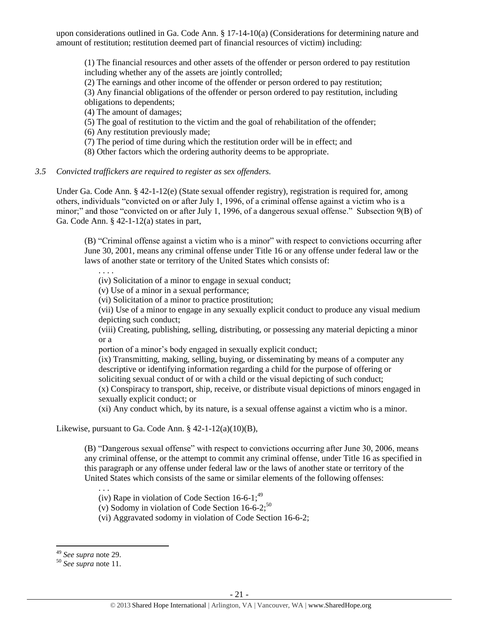upon considerations outlined in Ga. Code Ann. § 17-14-10(a) (Considerations for determining nature and amount of restitution; restitution deemed part of financial resources of victim) including:

(1) The financial resources and other assets of the offender or person ordered to pay restitution including whether any of the assets are jointly controlled;

(2) The earnings and other income of the offender or person ordered to pay restitution;

(3) Any financial obligations of the offender or person ordered to pay restitution, including

obligations to dependents;

(4) The amount of damages;

(5) The goal of restitution to the victim and the goal of rehabilitation of the offender;

(6) Any restitution previously made;

(7) The period of time during which the restitution order will be in effect; and

(8) Other factors which the ordering authority deems to be appropriate.

# *3.5 Convicted traffickers are required to register as sex offenders.*

Under Ga. Code Ann. § 42-1-12(e) (State sexual offender registry), registration is required for, among others, individuals "convicted on or after July 1, 1996, of a criminal offense against a victim who is a minor;" and those "convicted on or after July 1, 1996, of a dangerous sexual offense." Subsection 9(B) of Ga. Code Ann. § 42-1-12(a) states in part,

(B) "Criminal offense against a victim who is a minor" with respect to convictions occurring after June 30, 2001, means any criminal offense under Title 16 or any offense under federal law or the laws of another state or territory of the United States which consists of:

. . . .

(iv) Solicitation of a minor to engage in sexual conduct;

(v) Use of a minor in a sexual performance;

(vi) Solicitation of a minor to practice prostitution;

(vii) Use of a minor to engage in any sexually explicit conduct to produce any visual medium depicting such conduct;

(viii) Creating, publishing, selling, distributing, or possessing any material depicting a minor or a

portion of a minor's body engaged in sexually explicit conduct;

(ix) Transmitting, making, selling, buying, or disseminating by means of a computer any descriptive or identifying information regarding a child for the purpose of offering or soliciting sexual conduct of or with a child or the visual depicting of such conduct;

(x) Conspiracy to transport, ship, receive, or distribute visual depictions of minors engaged in sexually explicit conduct; or

(xi) Any conduct which, by its nature, is a sexual offense against a victim who is a minor.

Likewise, pursuant to Ga. Code Ann.  $\S$  42-1-12(a)(10)(B),

(B) "Dangerous sexual offense" with respect to convictions occurring after June 30, 2006, means any criminal offense, or the attempt to commit any criminal offense, under Title 16 as specified in this paragraph or any offense under federal law or the laws of another state or territory of the United States which consists of the same or similar elements of the following offenses:

(iv) Rape in violation of Code Section  $16-6-1$ ;<sup>49</sup>

(v) Sodomy in violation of Code Section  $16-6-2$ ;<sup>50</sup>

(vi) Aggravated sodomy in violation of Code Section 16-6-2;

 $\overline{\phantom{a}}$ 

. . .

<sup>49</sup> *See supra* note [29.](#page-14-0)

<sup>50</sup> *See supra* note [11.](#page-5-0)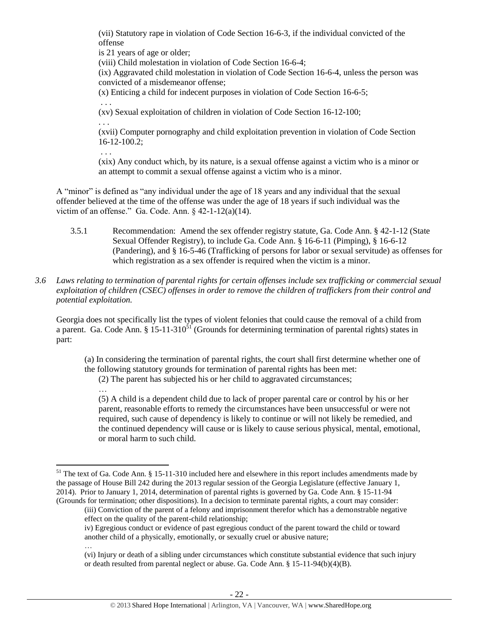(vii) Statutory rape in violation of Code Section 16-6-3, if the individual convicted of the offense

is 21 years of age or older;

(viii) Child molestation in violation of Code Section 16-6-4;

(ix) Aggravated child molestation in violation of Code Section 16-6-4, unless the person was convicted of a misdemeanor offense;

(x) Enticing a child for indecent purposes in violation of Code Section 16-6-5;

(xv) Sexual exploitation of children in violation of Code Section 16-12-100;

. . .

. . .

 $\overline{\phantom{a}}$ 

…

. . .

(xvii) Computer pornography and child exploitation prevention in violation of Code Section 16-12-100.2;

(xix) Any conduct which, by its nature, is a sexual offense against a victim who is a minor or an attempt to commit a sexual offense against a victim who is a minor.

A "minor" is defined as "any individual under the age of 18 years and any individual that the sexual offender believed at the time of the offense was under the age of 18 years if such individual was the victim of an offense." Ga. Code. Ann. § 42-1-12(a)(14).

- 3.5.1 Recommendation: Amend the sex offender registry statute, Ga. Code Ann. § 42-1-12 (State Sexual Offender Registry), to include Ga. Code Ann. § 16-6-11 (Pimping), § 16-6-12 (Pandering), and § 16-5-46 (Trafficking of persons for labor or sexual servitude) as offenses for which registration as a sex offender is required when the victim is a minor.
- *3.6 Laws relating to termination of parental rights for certain offenses include sex trafficking or commercial sexual exploitation of children (CSEC) offenses in order to remove the children of traffickers from their control and potential exploitation.*

Georgia does not specifically list the types of violent felonies that could cause the removal of a child from a parent. Ga. Code Ann. §  $15{\text -}11{\text -}310^{51}$  (Grounds for determining termination of parental rights) states in part:

(a) In considering the termination of parental rights, the court shall first determine whether one of the following statutory grounds for termination of parental rights has been met:

(2) The parent has subjected his or her child to aggravated circumstances;

… (5) A child is a dependent child due to lack of proper parental care or control by his or her parent, reasonable efforts to remedy the circumstances have been unsuccessful or were not required, such cause of dependency is likely to continue or will not likely be remedied, and the continued dependency will cause or is likely to cause serious physical, mental, emotional, or moral harm to such child.

(iii) Conviction of the parent of a felony and imprisonment therefor which has a demonstrable negative effect on the quality of the parent-child relationship;

iv) Egregious conduct or evidence of past egregious conduct of the parent toward the child or toward another child of a physically, emotionally, or sexually cruel or abusive nature;

 $51$  The text of Ga. Code Ann. § 15-11-310 included here and elsewhere in this report includes amendments made by the passage of House Bill 242 during the 2013 regular session of the Georgia Legislature (effective January 1, 2014). Prior to January 1, 2014, determination of parental rights is governed by Ga. Code Ann. § 15-11-94 (Grounds for termination; other dispositions). In a decision to terminate parental rights, a court may consider:

<sup>(</sup>vi) Injury or death of a sibling under circumstances which constitute substantial evidence that such injury or death resulted from parental neglect or abuse. Ga. Code Ann. § 15-11-94(b)(4)(B).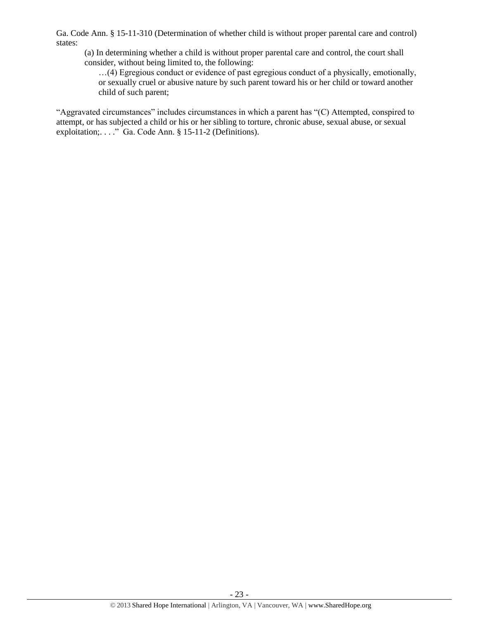Ga. Code Ann. § 15-11-310 (Determination of whether child is without proper parental care and control) states:

(a) In determining whether a child is without proper parental care and control, the court shall consider, without being limited to, the following:

…(4) Egregious conduct or evidence of past egregious conduct of a physically, emotionally, or sexually cruel or abusive nature by such parent toward his or her child or toward another child of such parent;

"Aggravated circumstances" includes circumstances in which a parent has "(C) Attempted, conspired to attempt, or has subjected a child or his or her sibling to torture, chronic abuse, sexual abuse, or sexual exploitation;. . . ." Ga. Code Ann. § 15-11-2 (Definitions).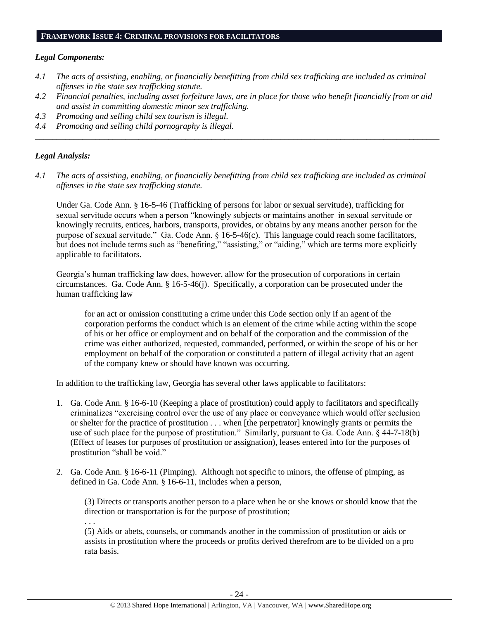#### **FRAMEWORK ISSUE 4: CRIMINAL PROVISIONS FOR FACILITATORS**

#### *Legal Components:*

- *4.1 The acts of assisting, enabling, or financially benefitting from child sex trafficking are included as criminal offenses in the state sex trafficking statute.*
- *4.2 Financial penalties, including asset forfeiture laws, are in place for those who benefit financially from or aid and assist in committing domestic minor sex trafficking.*

*\_\_\_\_\_\_\_\_\_\_\_\_\_\_\_\_\_\_\_\_\_\_\_\_\_\_\_\_\_\_\_\_\_\_\_\_\_\_\_\_\_\_\_\_\_\_\_\_\_\_\_\_\_\_\_\_\_\_\_\_\_\_\_\_\_\_\_\_\_\_\_\_\_\_\_\_\_\_\_\_\_\_\_\_\_\_\_\_\_\_\_\_\_\_*

- *4.3 Promoting and selling child sex tourism is illegal.*
- *4.4 Promoting and selling child pornography is illegal.*

# *Legal Analysis:*

*4.1 The acts of assisting, enabling, or financially benefitting from child sex trafficking are included as criminal offenses in the state sex trafficking statute.*

Under Ga. Code Ann. § 16-5-46 (Trafficking of persons for labor or sexual servitude), trafficking for sexual servitude occurs when a person "knowingly subjects or maintains another in sexual servitude or knowingly recruits, entices, harbors, transports, provides, or obtains by any means another person for the purpose of sexual servitude." Ga. Code Ann. § 16-5-46(c). This language could reach some facilitators, but does not include terms such as "benefiting," "assisting," or "aiding," which are terms more explicitly applicable to facilitators.

Georgia's human trafficking law does, however, allow for the prosecution of corporations in certain circumstances. Ga. Code Ann. § 16-5-46(j). Specifically, a corporation can be prosecuted under the human trafficking law

for an act or omission constituting a crime under this Code section only if an agent of the corporation performs the conduct which is an element of the crime while acting within the scope of his or her office or employment and on behalf of the corporation and the commission of the crime was either authorized, requested, commanded, performed, or within the scope of his or her employment on behalf of the corporation or constituted a pattern of illegal activity that an agent of the company knew or should have known was occurring.

In addition to the trafficking law, Georgia has several other laws applicable to facilitators:

- 1. Ga. Code Ann. § 16-6-10 (Keeping a place of prostitution) could apply to facilitators and specifically criminalizes "exercising control over the use of any place or conveyance which would offer seclusion or shelter for the practice of prostitution . . . when [the perpetrator] knowingly grants or permits the use of such place for the purpose of prostitution." Similarly, pursuant to Ga. Code Ann. § 44-7-18(b) (Effect of leases for purposes of prostitution or assignation), leases entered into for the purposes of prostitution "shall be void."
- 2. Ga. Code Ann. § 16-6-11 (Pimping). Although not specific to minors, the offense of pimping, as defined in Ga. Code Ann. § 16-6-11, includes when a person,

(3) Directs or transports another person to a place when he or she knows or should know that the direction or transportation is for the purpose of prostitution;

. . .

(5) Aids or abets, counsels, or commands another in the commission of prostitution or aids or assists in prostitution where the proceeds or profits derived therefrom are to be divided on a pro rata basis.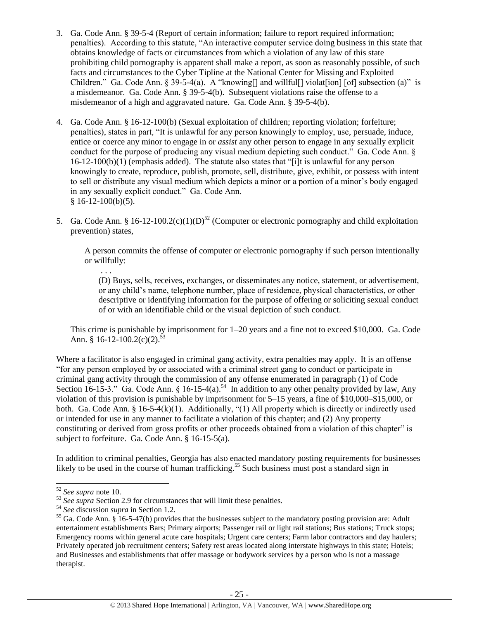- 3. Ga. Code Ann. § 39-5-4 (Report of certain information; failure to report required information; penalties). According to this statute, "An interactive computer service doing business in this state that obtains knowledge of facts or circumstances from which a violation of any law of this state prohibiting child pornography is apparent shall make a report, as soon as reasonably possible, of such facts and circumstances to the Cyber Tipline at the National Center for Missing and Exploited Children." Ga. Code Ann. § 39-5-4(a). A "knowing [] and will full violat [ion] [of] subsection (a)" is a misdemeanor. Ga. Code Ann. § 39-5-4(b). Subsequent violations raise the offense to a misdemeanor of a high and aggravated nature. Ga. Code Ann. § 39-5-4(b).
- 4. Ga. Code Ann. § 16-12-100(b) (Sexual exploitation of children; reporting violation; forfeiture; penalties), states in part, "It is unlawful for any person knowingly to employ, use, persuade, induce, entice or coerce any minor to engage in or *assist* any other person to engage in any sexually explicit conduct for the purpose of producing any visual medium depicting such conduct." Ga. Code Ann. § 16-12-100(b)(1) (emphasis added). The statute also states that "[i]t is unlawful for any person knowingly to create, reproduce, publish, promote, sell, distribute, give, exhibit, or possess with intent to sell or distribute any visual medium which depicts a minor or a portion of a minor's body engaged in any sexually explicit conduct." Ga. Code Ann.  $§ 16-12-100(b)(5).$
- 5. Ga. Code Ann. § 16-12-100.2(c)(1)(D)<sup>52</sup> (Computer or electronic pornography and child exploitation prevention) states,

A person commits the offense of computer or electronic pornography if such person intentionally or willfully:

. . . (D) Buys, sells, receives, exchanges, or disseminates any notice, statement, or advertisement, or any child's name, telephone number, place of residence, physical characteristics, or other descriptive or identifying information for the purpose of offering or soliciting sexual conduct of or with an identifiable child or the visual depiction of such conduct.

This crime is punishable by imprisonment for 1–20 years and a fine not to exceed \$10,000. Ga. Code Ann. § 16-12-100.2(c)(2).<sup>53</sup>

Where a facilitator is also engaged in criminal gang activity, extra penalties may apply. It is an offense "for any person employed by or associated with a criminal street gang to conduct or participate in criminal gang activity through the commission of any offense enumerated in paragraph (1) of Code Section 16-15-3." Ga. Code Ann. § 16-15-4(a).<sup>54</sup> In addition to any other penalty provided by law, Any violation of this provision is punishable by imprisonment for 5–15 years, a fine of \$10,000–\$15,000, or both. Ga. Code Ann. § 16-5-4(k)(1). Additionally, "(1) All property which is directly or indirectly used or intended for use in any manner to facilitate a violation of this chapter; and (2) Any property constituting or derived from gross profits or other proceeds obtained from a violation of this chapter" is subject to forfeiture. Ga. Code Ann. § 16-15-5(a).

In addition to criminal penalties, Georgia has also enacted mandatory posting requirements for businesses likely to be used in the course of human trafficking.<sup>55</sup> Such business must post a standard sign in

l

<sup>52</sup> *See supra* note [10.](#page-4-0)

<sup>53</sup> *See supra* Section 2.9 for circumstances that will limit these penalties.

<sup>54</sup> *See* discussion *supra* in Section 1.2.

<sup>&</sup>lt;sup>55</sup> Ga. Code Ann. § 16-5-47(b) provides that the businesses subject to the mandatory posting provision are: Adult entertainment establishments Bars; Primary airports; Passenger rail or light rail stations; Bus stations; Truck stops; Emergency rooms within general acute care hospitals; Urgent care centers; Farm labor contractors and day haulers; Privately operated job recruitment centers; Safety rest areas located along interstate highways in this state; Hotels; and Businesses and establishments that offer massage or bodywork services by a person who is not a massage therapist.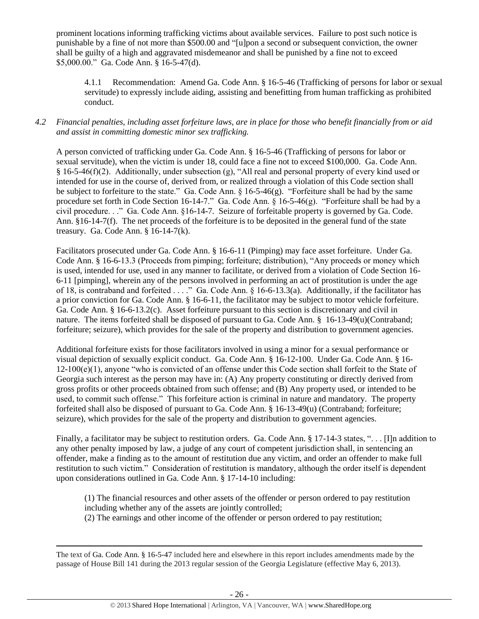prominent locations informing trafficking victims about available services. Failure to post such notice is punishable by a fine of not more than \$500.00 and "[u]pon a second or subsequent conviction, the owner shall be guilty of a high and aggravated misdemeanor and shall be punished by a fine not to exceed \$5,000.00." Ga. Code Ann. § 16-5-47(d).

4.1.1 Recommendation: Amend Ga. Code Ann. § 16-5-46 (Trafficking of persons for labor or sexual servitude) to expressly include aiding, assisting and benefitting from human trafficking as prohibited conduct.

# *4.2 Financial penalties, including asset forfeiture laws, are in place for those who benefit financially from or aid and assist in committing domestic minor sex trafficking.*

A person convicted of trafficking under Ga. Code Ann. § 16-5-46 (Trafficking of persons for labor or sexual servitude), when the victim is under 18, could face a fine not to exceed \$100,000. Ga. Code Ann. § 16-5-46(f)(2). Additionally, under subsection (g), "All real and personal property of every kind used or intended for use in the course of, derived from, or realized through a violation of this Code section shall be subject to forfeiture to the state." Ga. Code Ann. § 16-5-46(g). "Forfeiture shall be had by the same procedure set forth in Code Section 16-14-7." Ga. Code Ann. § 16-5-46(g). "Forfeiture shall be had by a civil procedure. . ." Ga. Code Ann. §16-14-7. Seizure of forfeitable property is governed by Ga. Code. Ann. §16-14-7(f). The net proceeds of the forfeiture is to be deposited in the general fund of the state treasury. Ga. Code Ann. § 16-14-7(k).

Facilitators prosecuted under Ga. Code Ann. § 16-6-11 (Pimping) may face asset forfeiture. Under Ga. Code Ann. § 16-6-13.3 (Proceeds from pimping; forfeiture; distribution), "Any proceeds or money which is used, intended for use, used in any manner to facilitate, or derived from a violation of Code Section 16- 6-11 [pimping], wherein any of the persons involved in performing an act of prostitution is under the age of 18, is contraband and forfeited . . . ." Ga. Code Ann. § 16-6-13.3(a). Additionally, if the facilitator has a prior conviction for Ga. Code Ann. § 16-6-11, the facilitator may be subject to motor vehicle forfeiture. Ga. Code Ann. § 16-6-13.2(c). Asset forfeiture pursuant to this section is discretionary and civil in nature. The items forfeited shall be disposed of pursuant to Ga. Code Ann. § 16-13-49(u)(Contraband; forfeiture; seizure), which provides for the sale of the property and distribution to government agencies.

Additional forfeiture exists for those facilitators involved in using a minor for a sexual performance or visual depiction of sexually explicit conduct. Ga. Code Ann. § 16-12-100. Under Ga. Code Ann. § 16-  $12-100(e)(1)$ , anyone "who is convicted of an offense under this Code section shall forfeit to the State of Georgia such interest as the person may have in: (A) Any property constituting or directly derived from gross profits or other proceeds obtained from such offense; and (B) Any property used, or intended to be used, to commit such offense." This forfeiture action is criminal in nature and mandatory. The property forfeited shall also be disposed of pursuant to Ga. Code Ann. § 16-13-49(u) (Contraband; forfeiture; seizure), which provides for the sale of the property and distribution to government agencies.

Finally, a facilitator may be subject to restitution orders. Ga. Code Ann. § 17-14-3 states, "... [I]n addition to any other penalty imposed by law, a judge of any court of competent jurisdiction shall, in sentencing an offender, make a finding as to the amount of restitution due any victim, and order an offender to make full restitution to such victim." Consideration of restitution is mandatory, although the order itself is dependent upon considerations outlined in Ga. Code Ann. § 17-14-10 including:

(1) The financial resources and other assets of the offender or person ordered to pay restitution including whether any of the assets are jointly controlled; (2) The earnings and other income of the offender or person ordered to pay restitution;

 $\overline{\phantom{a}}$ The text of Ga. Code Ann. § 16-5-47 included here and elsewhere in this report includes amendments made by the passage of House Bill 141 during the 2013 regular session of the Georgia Legislature (effective May 6, 2013).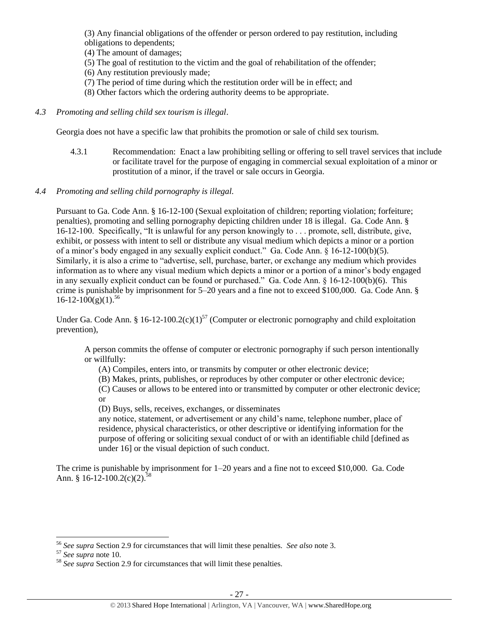(3) Any financial obligations of the offender or person ordered to pay restitution, including obligations to dependents;

- (4) The amount of damages;
- (5) The goal of restitution to the victim and the goal of rehabilitation of the offender;
- (6) Any restitution previously made;
- (7) The period of time during which the restitution order will be in effect; and
- (8) Other factors which the ordering authority deems to be appropriate.
- *4.3 Promoting and selling child sex tourism is illegal*.

Georgia does not have a specific law that prohibits the promotion or sale of child sex tourism.

4.3.1 Recommendation: Enact a law prohibiting selling or offering to sell travel services that include or facilitate travel for the purpose of engaging in commercial sexual exploitation of a minor or prostitution of a minor, if the travel or sale occurs in Georgia.

# *4.4 Promoting and selling child pornography is illegal.*

Pursuant to Ga. Code Ann. § 16-12-100 (Sexual exploitation of children; reporting violation; forfeiture; penalties), promoting and selling pornography depicting children under 18 is illegal. Ga. Code Ann. § 16-12-100. Specifically, "It is unlawful for any person knowingly to . . . promote, sell, distribute, give, exhibit, or possess with intent to sell or distribute any visual medium which depicts a minor or a portion of a minor's body engaged in any sexually explicit conduct." Ga. Code Ann. § 16-12-100(b)(5). Similarly, it is also a crime to "advertise, sell, purchase, barter, or exchange any medium which provides information as to where any visual medium which depicts a minor or a portion of a minor's body engaged in any sexually explicit conduct can be found or purchased." Ga. Code Ann. § 16-12-100(b)(6). This crime is punishable by imprisonment for 5–20 years and a fine not to exceed \$100,000. Ga. Code Ann. §  $16 - 12 - 100(g)(1)^{56}$ 

Under Ga. Code Ann. § 16-12-100.2(c)(1)<sup>57</sup> (Computer or electronic pornography and child exploitation prevention),

A person commits the offense of computer or electronic pornography if such person intentionally or willfully:

- (A) Compiles, enters into, or transmits by computer or other electronic device;
- (B) Makes, prints, publishes, or reproduces by other computer or other electronic device;

(C) Causes or allows to be entered into or transmitted by computer or other electronic device; or

(D) Buys, sells, receives, exchanges, or disseminates

any notice, statement, or advertisement or any child's name, telephone number, place of residence, physical characteristics, or other descriptive or identifying information for the purpose of offering or soliciting sexual conduct of or with an identifiable child [defined as under 16] or the visual depiction of such conduct.

The crime is punishable by imprisonment for 1–20 years and a fine not to exceed \$10,000. Ga. Code Ann. § 16-12-100.2(c)(2).<sup>58</sup>

l <sup>56</sup> *See supra* Section 2.9 for circumstances that will limit these penalties. *See also* note [3.](#page-2-0)

<sup>57</sup> *See supra* note [10.](#page-4-0)

<sup>58</sup> *See supra* Section 2.9 for circumstances that will limit these penalties.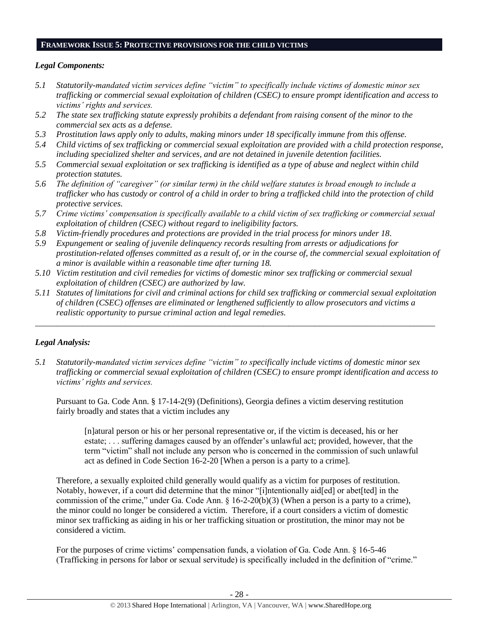#### **FRAMEWORK ISSUE 5: PROTECTIVE PROVISIONS FOR THE CHILD VICTIMS**

## *Legal Components:*

- *5.1 Statutorily-mandated victim services define "victim" to specifically include victims of domestic minor sex trafficking or commercial sexual exploitation of children (CSEC) to ensure prompt identification and access to victims' rights and services.*
- *5.2 The state sex trafficking statute expressly prohibits a defendant from raising consent of the minor to the commercial sex acts as a defense.*
- *5.3 Prostitution laws apply only to adults, making minors under 18 specifically immune from this offense.*
- *5.4 Child victims of sex trafficking or commercial sexual exploitation are provided with a child protection response, including specialized shelter and services, and are not detained in juvenile detention facilities.*
- *5.5 Commercial sexual exploitation or sex trafficking is identified as a type of abuse and neglect within child protection statutes.*
- *5.6 The definition of "caregiver" (or similar term) in the child welfare statutes is broad enough to include a trafficker who has custody or control of a child in order to bring a trafficked child into the protection of child protective services.*
- *5.7 Crime victims' compensation is specifically available to a child victim of sex trafficking or commercial sexual exploitation of children (CSEC) without regard to ineligibility factors.*
- *5.8 Victim-friendly procedures and protections are provided in the trial process for minors under 18.*
- *5.9 Expungement or sealing of juvenile delinquency records resulting from arrests or adjudications for prostitution-related offenses committed as a result of, or in the course of, the commercial sexual exploitation of a minor is available within a reasonable time after turning 18.*
- *5.10 Victim restitution and civil remedies for victims of domestic minor sex trafficking or commercial sexual exploitation of children (CSEC) are authorized by law.*
- *5.11 Statutes of limitations for civil and criminal actions for child sex trafficking or commercial sexual exploitation of children (CSEC) offenses are eliminated or lengthened sufficiently to allow prosecutors and victims a realistic opportunity to pursue criminal action and legal remedies.*

*\_\_\_\_\_\_\_\_\_\_\_\_\_\_\_\_\_\_\_\_\_\_\_\_\_\_\_\_\_\_\_\_\_\_\_\_\_\_\_\_\_\_\_\_\_\_\_\_\_\_\_\_\_\_\_\_\_\_\_\_\_\_\_\_\_\_\_\_\_\_\_\_\_\_\_\_\_\_\_\_\_\_\_\_\_\_\_\_\_\_\_\_\_*

# *Legal Analysis:*

*5.1 Statutorily-mandated victim services define "victim" to specifically include victims of domestic minor sex trafficking or commercial sexual exploitation of children (CSEC) to ensure prompt identification and access to victims' rights and services.*

Pursuant to Ga. Code Ann. § 17-14-2(9) (Definitions), Georgia defines a victim deserving restitution fairly broadly and states that a victim includes any

[n]atural person or his or her personal representative or, if the victim is deceased, his or her estate; . . . suffering damages caused by an offender's unlawful act; provided, however, that the term "victim" shall not include any person who is concerned in the commission of such unlawful act as defined in Code Section 16-2-20 [When a person is a party to a crime]*.*

Therefore, a sexually exploited child generally would qualify as a victim for purposes of restitution. Notably, however, if a court did determine that the minor "[i]ntentionally aid[ed] or abet[ted] in the commission of the crime," under Ga. Code Ann. § 16-2-20(b)(3) (When a person is a party to a crime), the minor could no longer be considered a victim. Therefore, if a court considers a victim of domestic minor sex trafficking as aiding in his or her trafficking situation or prostitution, the minor may not be considered a victim.

For the purposes of crime victims' compensation funds, a violation of Ga. Code Ann. § 16-5-46 (Trafficking in persons for labor or sexual servitude) is specifically included in the definition of "crime."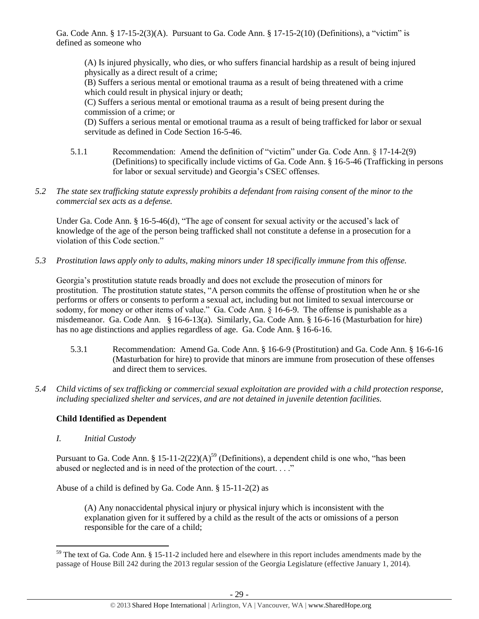Ga. Code Ann. § 17-15-2(3)(A). Pursuant to Ga. Code Ann. § 17-15-2(10) (Definitions), a "victim" is defined as someone who

(A) Is injured physically, who dies, or who suffers financial hardship as a result of being injured physically as a direct result of a crime;

(B) Suffers a serious mental or emotional trauma as a result of being threatened with a crime which could result in physical injury or death;

(C) Suffers a serious mental or emotional trauma as a result of being present during the commission of a crime; or

(D) Suffers a serious mental or emotional trauma as a result of being trafficked for labor or sexual servitude as defined in Code Section 16-5-46.

- 5.1.1 Recommendation: Amend the definition of "victim" under Ga. Code Ann. § 17-14-2(9) (Definitions) to specifically include victims of Ga. Code Ann. § 16-5-46 (Trafficking in persons for labor or sexual servitude) and Georgia's CSEC offenses.
- *5.2 The state sex trafficking statute expressly prohibits a defendant from raising consent of the minor to the commercial sex acts as a defense.*

Under Ga. Code Ann. § 16-5-46(d), "The age of consent for sexual activity or the accused's lack of knowledge of the age of the person being trafficked shall not constitute a defense in a prosecution for a violation of this Code section."

*5.3 Prostitution laws apply only to adults, making minors under 18 specifically immune from this offense.*

Georgia's prostitution statute reads broadly and does not exclude the prosecution of minors for prostitution. The prostitution statute states, "A person commits the offense of prostitution when he or she performs or offers or consents to perform a sexual act, including but not limited to sexual intercourse or sodomy, for money or other items of value." Ga. Code Ann. § 16-6-9. The offense is punishable as a misdemeanor. Ga. Code Ann. § 16-6-13(a). Similarly, Ga. Code Ann. § 16-6-16 (Masturbation for hire) has no age distinctions and applies regardless of age. Ga. Code Ann. § 16-6-16.

- 5.3.1 Recommendation: Amend Ga. Code Ann. § 16-6-9 (Prostitution) and Ga. Code Ann. § 16-6-16 (Masturbation for hire) to provide that minors are immune from prosecution of these offenses and direct them to services.
- *5.4 Child victims of sex trafficking or commercial sexual exploitation are provided with a child protection response, including specialized shelter and services, and are not detained in juvenile detention facilities.*

# **Child Identified as Dependent**

*I. Initial Custody*

 $\overline{\phantom{a}}$ 

Pursuant to Ga. Code Ann. § 15-11-2(22)(A)<sup>59</sup> (Definitions), a dependent child is one who, "has been abused or neglected and is in need of the protection of the court. . . ."

Abuse of a child is defined by Ga. Code Ann. § 15-11-2(2) as

<span id="page-28-0"></span>(A) Any nonaccidental physical injury or physical injury which is inconsistent with the explanation given for it suffered by a child as the result of the acts or omissions of a person responsible for the care of a child;

 $59$  The text of Ga. Code Ann. § 15-11-2 included here and elsewhere in this report includes amendments made by the passage of House Bill 242 during the 2013 regular session of the Georgia Legislature (effective January 1, 2014).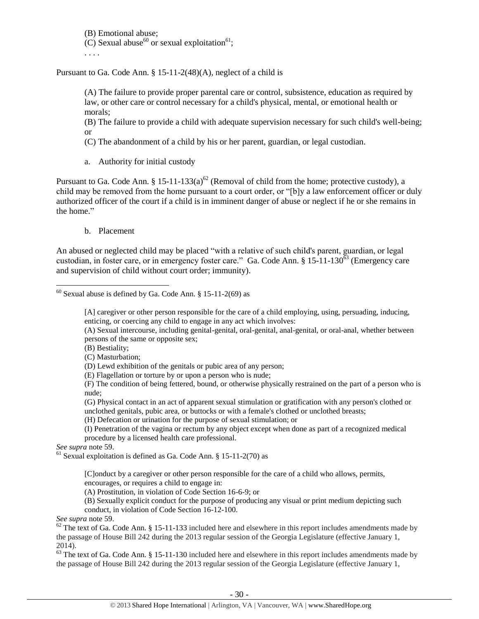(B) Emotional abuse; (C) Sexual abuse<sup>60</sup> or sexual exploitation<sup>61</sup>; . . . .

Pursuant to Ga. Code Ann. § 15-11-2(48)(A), neglect of a child is

(A) The failure to provide proper parental care or control, subsistence, education as required by law, or other care or control necessary for a child's physical, mental, or emotional health or morals;

(B) The failure to provide a child with adequate supervision necessary for such child's well-being; or

(C) The abandonment of a child by his or her parent, guardian, or legal custodian.

a. Authority for initial custody

Pursuant to Ga. Code Ann. § 15-11-133(a)<sup>62</sup> (Removal of child from the home; protective custody), a child may be removed from the home pursuant to a court order, or "[b]y a law enforcement officer or duly authorized officer of the court if a child is in imminent danger of abuse or neglect if he or she remains in the home."

b. Placement

An abused or neglected child may be placed "with a relative of such child's parent, guardian, or legal custodian, in foster care, or in emergency foster care." Ga. Code Ann. § 15-11-130<sup> $\bar{6}3$ </sup> (Emergency care and supervision of child without court order; immunity).

[A] caregiver or other person responsible for the care of a child employing, using, persuading, inducing, enticing, or coercing any child to engage in any act which involves:

(A) Sexual intercourse, including genital-genital, oral-genital, anal-genital, or oral-anal, whether between persons of the same or opposite sex;

(B) Bestiality;

(C) Masturbation;

(D) Lewd exhibition of the genitals or pubic area of any person;

(E) Flagellation or torture by or upon a person who is nude;

(F) The condition of being fettered, bound, or otherwise physically restrained on the part of a person who is nude;

(G) Physical contact in an act of apparent sexual stimulation or gratification with any person's clothed or unclothed genitals, pubic area, or buttocks or with a female's clothed or unclothed breasts;

(H) Defecation or urination for the purpose of sexual stimulation; or

(I) Penetration of the vagina or rectum by any object except when done as part of a recognized medical procedure by a licensed health care professional.

*See supra* note [59.](#page-28-0)

 $61$  Sexual exploitation is defined as Ga. Code Ann. § 15-11-2(70) as

[C]onduct by a caregiver or other person responsible for the care of a child who allows, permits, encourages, or requires a child to engage in:

(A) Prostitution, in violation of Code Section 16-6-9; or

(B) Sexually explicit conduct for the purpose of producing any visual or print medium depicting such conduct, in violation of Code Section 16-12-100.

*See supra* note [59.](#page-28-0)

 $62$  The text of Ga. Code Ann. § 15-11-133 included here and elsewhere in this report includes amendments made by the passage of House Bill 242 during the 2013 regular session of the Georgia Legislature (effective January 1,  $2014$ ).

 $63$  The text of Ga. Code Ann. § 15-11-130 included here and elsewhere in this report includes amendments made by the passage of House Bill 242 during the 2013 regular session of the Georgia Legislature (effective January 1,

l  $60$  Sexual abuse is defined by Ga. Code Ann. § 15-11-2(69) as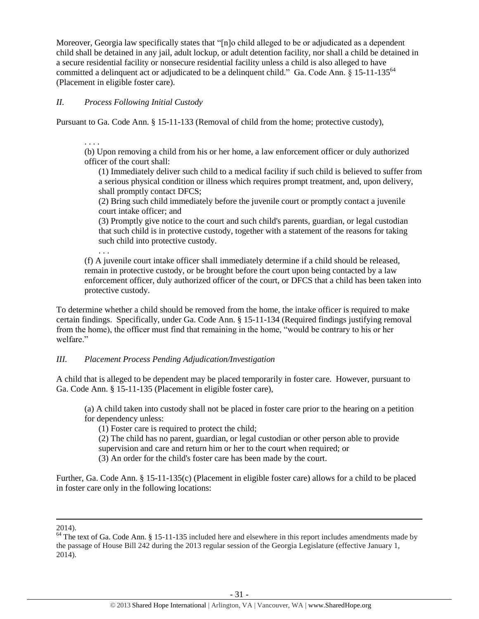Moreover, Georgia law specifically states that "[n]o child alleged to be or adjudicated as a dependent child shall be detained in any jail, adult lockup, or adult detention facility, nor shall a child be detained in a secure residential facility or nonsecure residential facility unless a child is also alleged to have committed a delinquent act or adjudicated to be a delinquent child." Ga. Code Ann. § 15-11-135<sup>64</sup> (Placement in eligible foster care).

# *II. Process Following Initial Custody*

Pursuant to Ga. Code Ann. § 15-11-133 (Removal of child from the home; protective custody),

. . . .

. . .

(b) Upon removing a child from his or her home, a law enforcement officer or duly authorized officer of the court shall:

(1) Immediately deliver such child to a medical facility if such child is believed to suffer from a serious physical condition or illness which requires prompt treatment, and, upon delivery, shall promptly contact DFCS;

(2) Bring such child immediately before the juvenile court or promptly contact a juvenile court intake officer; and

(3) Promptly give notice to the court and such child's parents, guardian, or legal custodian that such child is in protective custody, together with a statement of the reasons for taking such child into protective custody.

(f) A juvenile court intake officer shall immediately determine if a child should be released, remain in protective custody, or be brought before the court upon being contacted by a law enforcement officer, duly authorized officer of the court, or DFCS that a child has been taken into protective custody.

To determine whether a child should be removed from the home, the intake officer is required to make certain findings. Specifically, under Ga. Code Ann. § 15-11-134 (Required findings justifying removal from the home), the officer must find that remaining in the home, "would be contrary to his or her welfare."

# *III. Placement Process Pending Adjudication/Investigation*

A child that is alleged to be dependent may be placed temporarily in foster care. However, pursuant to Ga. Code Ann. § 15-11-135 (Placement in eligible foster care),

(a) A child taken into custody shall not be placed in foster care prior to the hearing on a petition for dependency unless:

(1) Foster care is required to protect the child;

(2) The child has no parent, guardian, or legal custodian or other person able to provide

supervision and care and return him or her to the court when required; or

(3) An order for the child's foster care has been made by the court.

Further, Ga. Code Ann. § 15-11-135(c) (Placement in eligible foster care) allows for a child to be placed in foster care only in the following locations:

 $\overline{\phantom{a}}$ 2014).

<sup>&</sup>lt;sup>64</sup> The text of Ga. Code Ann. § 15-11-135 included here and elsewhere in this report includes amendments made by the passage of House Bill 242 during the 2013 regular session of the Georgia Legislature (effective January 1, 2014).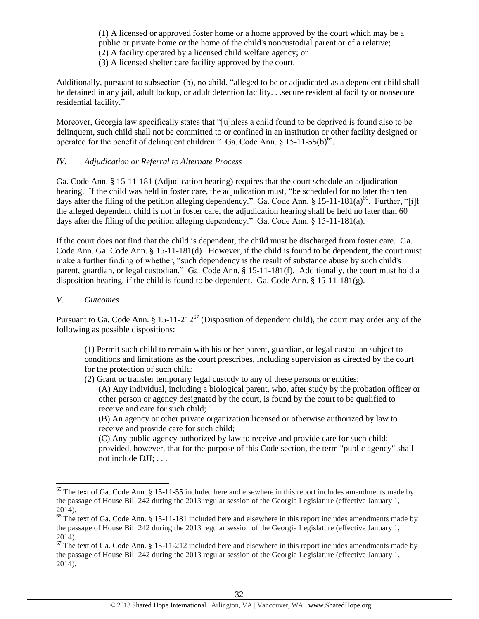(1) A licensed or approved foster home or a home approved by the court which may be a public or private home or the home of the child's noncustodial parent or of a relative; (2) A facility operated by a licensed child welfare agency; or

(3) A licensed shelter care facility approved by the court.

Additionally, pursuant to subsection (b), no child, "alleged to be or adjudicated as a dependent child shall be detained in any jail, adult lockup, or adult detention facility. . .secure residential facility or nonsecure residential facility."

Moreover, Georgia law specifically states that "[u]nless a child found to be deprived is found also to be delinquent, such child shall not be committed to or confined in an institution or other facility designed or operated for the benefit of delinquent children." Ga. Code Ann.  $§$  15-11-55(b)<sup>65</sup>.

# *IV. Adjudication or Referral to Alternate Process*

Ga. Code Ann. § 15-11-181 (Adjudication hearing) requires that the court schedule an adjudication hearing. If the child was held in foster care, the adjudication must, "be scheduled for no later than ten days after the filing of the petition alleging dependency." Ga. Code Ann.  $\S 15{\text -}11{\text -}181(a)^{66}$ . Further, "[i]f the alleged dependent child is not in foster care, the adjudication hearing shall be held no later than 60 days after the filing of the petition alleging dependency." Ga. Code Ann. § 15-11-181(a).

If the court does not find that the child is dependent, the child must be discharged from foster care. Ga. Code Ann. Ga. Code Ann. § 15-11-181(d). However, if the child is found to be dependent, the court must make a further finding of whether, "such dependency is the result of substance abuse by such child's parent, guardian, or legal custodian." Ga. Code Ann. § 15-11-181(f). Additionally, the court must hold a disposition hearing, if the child is found to be dependent. Ga. Code Ann. § 15-11-181(g).

# *V. Outcomes*

l

Pursuant to Ga. Code Ann.  $\S 15{\text -}11{\text -}212^{67}$  (Disposition of dependent child), the court may order any of the following as possible dispositions:

(1) Permit such child to remain with his or her parent, guardian, or legal custodian subject to conditions and limitations as the court prescribes, including supervision as directed by the court for the protection of such child;

(2) Grant or transfer temporary legal custody to any of these persons or entities:

(A) Any individual, including a biological parent, who, after study by the probation officer or other person or agency designated by the court, is found by the court to be qualified to receive and care for such child;

(B) An agency or other private organization licensed or otherwise authorized by law to receive and provide care for such child;

(C) Any public agency authorized by law to receive and provide care for such child; provided, however, that for the purpose of this Code section, the term "public agency" shall not include DJJ; . . .

 $65$  The text of Ga. Code Ann. § 15-11-55 included here and elsewhere in this report includes amendments made by the passage of House Bill 242 during the 2013 regular session of the Georgia Legislature (effective January 1, 2014).

<sup>&</sup>lt;sup>66</sup> The text of Ga. Code Ann. § 15-11-181 included here and elsewhere in this report includes amendments made by the passage of House Bill 242 during the 2013 regular session of the Georgia Legislature (effective January 1, 2014).

 $67$  The text of Ga. Code Ann. § 15-11-212 included here and elsewhere in this report includes amendments made by the passage of House Bill 242 during the 2013 regular session of the Georgia Legislature (effective January 1, 2014).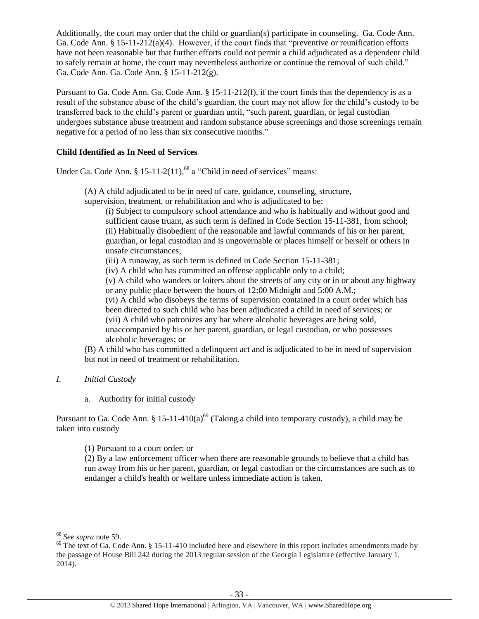Additionally, the court may order that the child or guardian(s) participate in counseling. Ga. Code Ann. Ga. Code Ann. § 15-11-212(a)(4). However, if the court finds that "preventive or reunification efforts have not been reasonable but that further efforts could not permit a child adjudicated as a dependent child to safely remain at home, the court may nevertheless authorize or continue the removal of such child." Ga. Code Ann. Ga. Code Ann. § 15-11-212(g).

Pursuant to Ga. Code Ann. Ga. Code Ann. § 15-11-212(f), if the court finds that the dependency is as a result of the substance abuse of the child's guardian, the court may not allow for the child's custody to be transferred back to the child's parent or guardian until, "such parent, guardian, or legal custodian undergoes substance abuse treatment and random substance abuse screenings and those screenings remain negative for a period of no less than six consecutive months."

# **Child Identified as In Need of Services**

Under Ga. Code Ann. § 15-11-2(11), <sup>68</sup> a "Child in need of services" means:

(A) A child adjudicated to be in need of care, guidance, counseling, structure,

supervision, treatment, or rehabilitation and who is adjudicated to be:

(i) Subject to compulsory school attendance and who is habitually and without good and sufficient cause truant, as such term is defined in Code Section 15-11-381, from school; (ii) Habitually disobedient of the reasonable and lawful commands of his or her parent, guardian, or legal custodian and is ungovernable or places himself or herself or others in unsafe circumstances;

(iii) A runaway, as such term is defined in Code Section 15-11-381;

(iv) A child who has committed an offense applicable only to a child;

(v) A child who wanders or loiters about the streets of any city or in or about any highway or any public place between the hours of 12:00 Midnight and 5:00 A.M.;

(vi) A child who disobeys the terms of supervision contained in a court order which has been directed to such child who has been adjudicated a child in need of services; or (vii) A child who patronizes any bar where alcoholic beverages are being sold, unaccompanied by his or her parent, guardian, or legal custodian, or who possesses alcoholic beverages; or

(B) A child who has committed a delinquent act and is adjudicated to be in need of supervision but not in need of treatment or rehabilitation.

# *I. Initial Custody*

a. Authority for initial custody

Pursuant to Ga. Code Ann. § 15-11-410(a)<sup>69</sup> (Taking a child into temporary custody), a child may be taken into custody

(1) Pursuant to a court order; or

(2) By a law enforcement officer when there are reasonable grounds to believe that a child has run away from his or her parent, guardian, or legal custodian or the circumstances are such as to endanger a child's health or welfare unless immediate action is taken.

 $\overline{\phantom{a}}$ <sup>68</sup> *See supra* note [59.](#page-28-0) 

 $69$  The text of Ga. Code Ann. § 15-11-410 included here and elsewhere in this report includes amendments made by the passage of House Bill 242 during the 2013 regular session of the Georgia Legislature (effective January 1, 2014).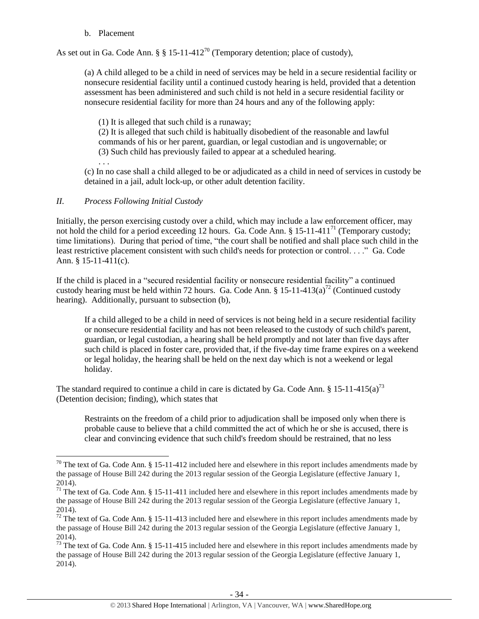## b. Placement

As set out in Ga. Code Ann. § § 15-11-412<sup>70</sup> (Temporary detention; place of custody),

(a) A child alleged to be a child in need of services may be held in a secure residential facility or nonsecure residential facility until a continued custody hearing is held, provided that a detention assessment has been administered and such child is not held in a secure residential facility or nonsecure residential facility for more than 24 hours and any of the following apply:

(1) It is alleged that such child is a runaway;

(2) It is alleged that such child is habitually disobedient of the reasonable and lawful commands of his or her parent, guardian, or legal custodian and is ungovernable; or (3) Such child has previously failed to appear at a scheduled hearing.

. . . (c) In no case shall a child alleged to be or adjudicated as a child in need of services in custody be detained in a jail, adult lock-up, or other adult detention facility.

# *II. Process Following Initial Custody*

 $\overline{a}$ 

Initially, the person exercising custody over a child, which may include a law enforcement officer, may not hold the child for a period exceeding 12 hours. Ga. Code Ann. § 15-11-411<sup>71</sup> (Temporary custody; time limitations). During that period of time, "the court shall be notified and shall place such child in the least restrictive placement consistent with such child's needs for protection or control. . . ." Ga. Code Ann. § 15-11-411(c).

If the child is placed in a "secured residential facility or nonsecure residential facility" a continued custody hearing must be held within 72 hours. Ga. Code Ann. § 15-11-413(a)<sup>72</sup> (Continued custody hearing). Additionally, pursuant to subsection (b),

If a child alleged to be a child in need of services is not being held in a secure residential facility or nonsecure residential facility and has not been released to the custody of such child's parent, guardian, or legal custodian, a hearing shall be held promptly and not later than five days after such child is placed in foster care, provided that, if the five-day time frame expires on a weekend or legal holiday, the hearing shall be held on the next day which is not a weekend or legal holiday.

The standard required to continue a child in care is dictated by Ga. Code Ann. § 15-11-415(a)<sup>73</sup> (Detention decision; finding), which states that

Restraints on the freedom of a child prior to adjudication shall be imposed only when there is probable cause to believe that a child committed the act of which he or she is accused, there is clear and convincing evidence that such child's freedom should be restrained, that no less

<sup>&</sup>lt;sup>70</sup> The text of Ga. Code Ann. § 15-11-412 included here and elsewhere in this report includes amendments made by the passage of House Bill 242 during the 2013 regular session of the Georgia Legislature (effective January 1, 2014).

<sup>&</sup>lt;sup>71</sup> The text of Ga. Code Ann.  $\S 15-11-411$  included here and elsewhere in this report includes amendments made by the passage of House Bill 242 during the 2013 regular session of the Georgia Legislature (effective January 1, 2014).

 $72$  The text of Ga. Code Ann. § 15-11-413 included here and elsewhere in this report includes amendments made by the passage of House Bill 242 during the 2013 regular session of the Georgia Legislature (effective January 1, 2014).

 $\frac{73}{73}$  The text of Ga. Code Ann. § 15-11-415 included here and elsewhere in this report includes amendments made by the passage of House Bill 242 during the 2013 regular session of the Georgia Legislature (effective January 1, 2014).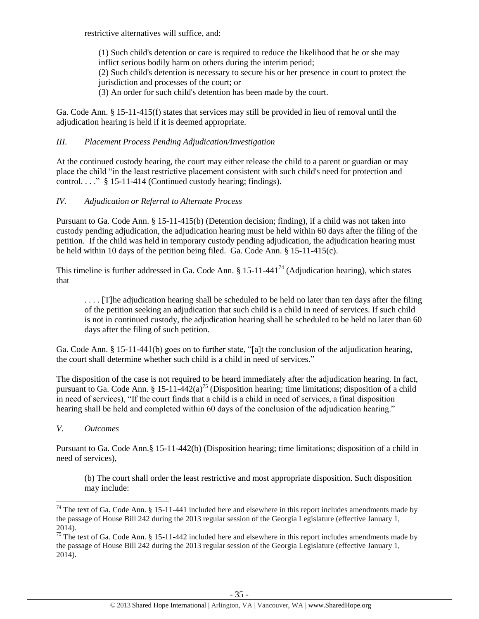restrictive alternatives will suffice, and:

(1) Such child's detention or care is required to reduce the likelihood that he or she may inflict serious bodily harm on others during the interim period; (2) Such child's detention is necessary to secure his or her presence in court to protect the jurisdiction and processes of the court; or (3) An order for such child's detention has been made by the court.

Ga. Code Ann. § 15-11-415(f) states that services may still be provided in lieu of removal until the adjudication hearing is held if it is deemed appropriate.

## *III. Placement Process Pending Adjudication/Investigation*

At the continued custody hearing, the court may either release the child to a parent or guardian or may place the child "in the least restrictive placement consistent with such child's need for protection and control.  $\ldots$   $\frac{8}{9}$  15-11-414 (Continued custody hearing; findings).

# *IV. Adjudication or Referral to Alternate Process*

Pursuant to Ga. Code Ann. § 15-11-415(b) (Detention decision; finding), if a child was not taken into custody pending adjudication, the adjudication hearing must be held within 60 days after the filing of the petition. If the child was held in temporary custody pending adjudication, the adjudication hearing must be held within 10 days of the petition being filed. Ga. Code Ann. § 15-11-415(c).

This timeline is further addressed in Ga. Code Ann.  $\S 15$ -11-441<sup>74</sup> (Adjudication hearing), which states that

. . . . [T]he adjudication hearing shall be scheduled to be held no later than ten days after the filing of the petition seeking an adjudication that such child is a child in need of services. If such child is not in continued custody, the adjudication hearing shall be scheduled to be held no later than 60 days after the filing of such petition.

Ga. Code Ann. § 15-11-441(b) goes on to further state, "[a]t the conclusion of the adjudication hearing, the court shall determine whether such child is a child in need of services."

The disposition of the case is not required to be heard immediately after the adjudication hearing. In fact, pursuant to Ga. Code Ann. § 15-11-442(a)<sup>75</sup> (Disposition hearing; time limitations; disposition of a child in need of services), "If the court finds that a child is a child in need of services, a final disposition hearing shall be held and completed within 60 days of the conclusion of the adjudication hearing."

*V. Outcomes*

 $\overline{\phantom{a}}$ 

Pursuant to Ga. Code Ann.§ 15-11-442(b) (Disposition hearing; time limitations; disposition of a child in need of services),

(b) The court shall order the least restrictive and most appropriate disposition. Such disposition may include:

 $74$  The text of Ga. Code Ann. § 15-11-441 included here and elsewhere in this report includes amendments made by the passage of House Bill 242 during the 2013 regular session of the Georgia Legislature (effective January 1, 2014).

<sup>&</sup>lt;sup>75</sup> The text of Ga. Code Ann. § 15-11-442 included here and elsewhere in this report includes amendments made by the passage of House Bill 242 during the 2013 regular session of the Georgia Legislature (effective January 1, 2014).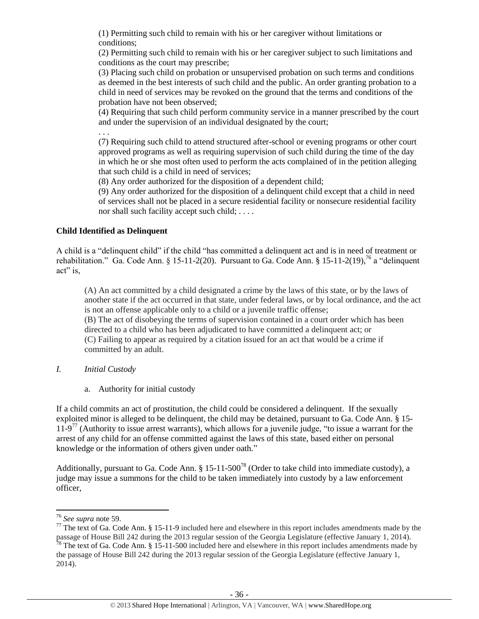(1) Permitting such child to remain with his or her caregiver without limitations or conditions;

(2) Permitting such child to remain with his or her caregiver subject to such limitations and conditions as the court may prescribe;

(3) Placing such child on probation or unsupervised probation on such terms and conditions as deemed in the best interests of such child and the public. An order granting probation to a child in need of services may be revoked on the ground that the terms and conditions of the probation have not been observed;

(4) Requiring that such child perform community service in a manner prescribed by the court and under the supervision of an individual designated by the court;

. . .

(7) Requiring such child to attend structured after-school or evening programs or other court approved programs as well as requiring supervision of such child during the time of the day in which he or she most often used to perform the acts complained of in the petition alleging that such child is a child in need of services;

(8) Any order authorized for the disposition of a dependent child;

(9) Any order authorized for the disposition of a delinquent child except that a child in need of services shall not be placed in a secure residential facility or nonsecure residential facility nor shall such facility accept such child; . . . .

# **Child Identified as Delinquent**

A child is a "delinquent child" if the child "has committed a delinquent act and is in need of treatment or rehabilitation." Ga. Code Ann. § 15-11-2(20). Pursuant to Ga. Code Ann. § 15-11-2(19),<sup>76</sup> a "delinquent" act" is,

(A) An act committed by a child designated a crime by the laws of this state, or by the laws of another state if the act occurred in that state, under federal laws, or by local ordinance, and the act is not an offense applicable only to a child or a juvenile traffic offense;

(B) The act of disobeying the terms of supervision contained in a court order which has been directed to a child who has been adjudicated to have committed a delinquent act; or (C) Failing to appear as required by a citation issued for an act that would be a crime if committed by an adult.

- *I. Initial Custody*
	- a. Authority for initial custody

If a child commits an act of prostitution, the child could be considered a delinquent. If the sexually exploited minor is alleged to be delinquent, the child may be detained, pursuant to Ga. Code Ann. § 15- 11-9<sup>77</sup> (Authority to issue arrest warrants), which allows for a juvenile judge, "to issue a warrant for the arrest of any child for an offense committed against the laws of this state, based either on personal knowledge or the information of others given under oath."

Additionally, pursuant to Ga. Code Ann.  $\S 15{\text -}11{\text -}500^{78}$  (Order to take child into immediate custody), a judge may issue a summons for the child to be taken immediately into custody by a law enforcement officer,

 $\overline{a}$ 

<sup>76</sup> *See supra* note [59.](#page-28-0)

 $77$  The text of Ga. Code Ann. § 15-11-9 included here and elsewhere in this report includes amendments made by the passage of House Bill 242 during the 2013 regular session of the Georgia Legislature (effective January 1, 2014).  $78$  The text of Ga. Code Ann. § 15-11-500 included here and elsewhere in this report includes amendments made by the passage of House Bill 242 during the 2013 regular session of the Georgia Legislature (effective January 1, 2014).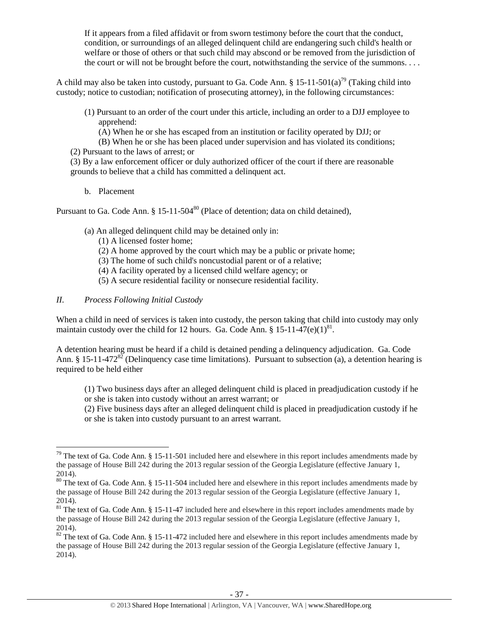If it appears from a filed affidavit or from sworn testimony before the court that the conduct, condition, or surroundings of an alleged delinquent child are endangering such child's health or welfare or those of others or that such child may abscond or be removed from the jurisdiction of the court or will not be brought before the court, notwithstanding the service of the summons. . . .

A child may also be taken into custody, pursuant to Ga. Code Ann. § 15-11-501(a)<sup>79</sup> (Taking child into custody; notice to custodian; notification of prosecuting attorney), in the following circumstances:

- (1) Pursuant to an order of the court under this article, including an order to a DJJ employee to apprehend:
	- (A) When he or she has escaped from an institution or facility operated by DJJ; or
- (B) When he or she has been placed under supervision and has violated its conditions;
- (2) Pursuant to the laws of arrest; or
- (3) By a law enforcement officer or duly authorized officer of the court if there are reasonable grounds to believe that a child has committed a delinquent act.
	- b. Placement

Pursuant to Ga. Code Ann.  $\S 15{\text -}11{\text -}504^{80}$  (Place of detention; data on child detained),

- (a) An alleged delinquent child may be detained only in:
	- (1) A licensed foster home;
	- (2) A home approved by the court which may be a public or private home;
	- (3) The home of such child's noncustodial parent or of a relative;
	- (4) A facility operated by a licensed child welfare agency; or
	- (5) A secure residential facility or nonsecure residential facility.
- *II. Process Following Initial Custody*

When a child in need of services is taken into custody, the person taking that child into custody may only maintain custody over the child for 12 hours. Ga. Code Ann. §  $15{\text -}11{\text -}47(\text{e})(1)^{81}$ .

A detention hearing must be heard if a child is detained pending a delinquency adjudication. Ga. Code Ann. § 15-11-472<sup>82</sup> (Delinquency case time limitations). Pursuant to subsection (a), a detention hearing is required to be held either

(1) Two business days after an alleged delinquent child is placed in preadjudication custody if he or she is taken into custody without an arrest warrant; or

(2) Five business days after an alleged delinquent child is placed in preadjudication custody if he or she is taken into custody pursuant to an arrest warrant.

l  $79$  The text of Ga. Code Ann. § 15-11-501 included here and elsewhere in this report includes amendments made by the passage of House Bill 242 during the 2013 regular session of the Georgia Legislature (effective January 1, 2014).

<sup>&</sup>lt;sup>80</sup> The text of Ga. Code Ann. § 15-11-504 included here and elsewhere in this report includes amendments made by the passage of House Bill 242 during the 2013 regular session of the Georgia Legislature (effective January 1, 2014).

<sup>&</sup>lt;sup>81</sup> The text of Ga. Code Ann. § 15-11-47 included here and elsewhere in this report includes amendments made by the passage of House Bill 242 during the 2013 regular session of the Georgia Legislature (effective January 1, 2014).

 $82$  The text of Ga. Code Ann. § 15-11-472 included here and elsewhere in this report includes amendments made by the passage of House Bill 242 during the 2013 regular session of the Georgia Legislature (effective January 1, 2014).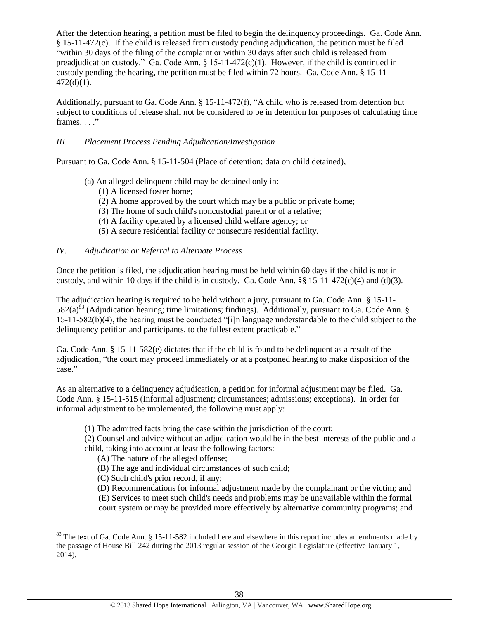After the detention hearing, a petition must be filed to begin the delinquency proceedings. Ga. Code Ann. § 15-11-472(c). If the child is released from custody pending adjudication, the petition must be filed "within 30 days of the filing of the complaint or within 30 days after such child is released from preadjudication custody." Ga. Code Ann.  $\S$  15-11-472(c)(1). However, if the child is continued in custody pending the hearing, the petition must be filed within 72 hours. Ga. Code Ann. § 15-11-  $472(d)(1)$ .

Additionally, pursuant to Ga. Code Ann. § 15-11-472(f), "A child who is released from detention but subject to conditions of release shall not be considered to be in detention for purposes of calculating time frames.  $\ldots$ "

# *III. Placement Process Pending Adjudication/Investigation*

Pursuant to Ga. Code Ann. § 15-11-504 (Place of detention; data on child detained),

- (a) An alleged delinquent child may be detained only in:
	- (1) A licensed foster home;
	- (2) A home approved by the court which may be a public or private home;
	- (3) The home of such child's noncustodial parent or of a relative;
	- (4) A facility operated by a licensed child welfare agency; or
	- (5) A secure residential facility or nonsecure residential facility.

# *IV. Adjudication or Referral to Alternate Process*

Once the petition is filed, the adjudication hearing must be held within 60 days if the child is not in custody, and within 10 days if the child is in custody. Ga. Code Ann.  $\S$  15-11-472(c)(4) and (d)(3).

The adjudication hearing is required to be held without a jury, pursuant to Ga. Code Ann. § 15-11-  $582(a)^{83}$  (Adjudication hearing; time limitations; findings). Additionally, pursuant to Ga. Code Ann. § 15-11-582(b)(4), the hearing must be conducted "[i]n language understandable to the child subject to the delinquency petition and participants, to the fullest extent practicable."

Ga. Code Ann. § 15-11-582(e) dictates that if the child is found to be delinquent as a result of the adjudication, "the court may proceed immediately or at a postponed hearing to make disposition of the case."

As an alternative to a delinquency adjudication, a petition for informal adjustment may be filed. Ga. Code Ann. § 15-11-515 (Informal adjustment; circumstances; admissions; exceptions). In order for informal adjustment to be implemented, the following must apply:

(1) The admitted facts bring the case within the jurisdiction of the court;

(2) Counsel and advice without an adjudication would be in the best interests of the public and a child, taking into account at least the following factors:

- (A) The nature of the alleged offense;
- (B) The age and individual circumstances of such child;
- (C) Such child's prior record, if any;

 $\overline{\phantom{a}}$ 

(D) Recommendations for informal adjustment made by the complainant or the victim; and

(E) Services to meet such child's needs and problems may be unavailable within the formal court system or may be provided more effectively by alternative community programs; and

 $83$  The text of Ga. Code Ann. § 15-11-582 included here and elsewhere in this report includes amendments made by the passage of House Bill 242 during the 2013 regular session of the Georgia Legislature (effective January 1, 2014).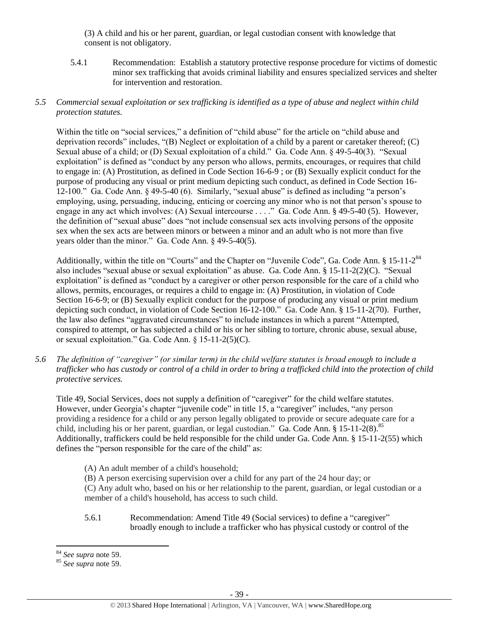(3) A child and his or her parent, guardian, or legal custodian consent with knowledge that consent is not obligatory.

5.4.1 Recommendation: Establish a statutory protective response procedure for victims of domestic minor sex trafficking that avoids criminal liability and ensures specialized services and shelter for intervention and restoration.

# *5.5 Commercial sexual exploitation or sex trafficking is identified as a type of abuse and neglect within child protection statutes.*

Within the title on "social services," a definition of "child abuse" for the article on "child abuse and deprivation records" includes, "(B) Neglect or exploitation of a child by a parent or caretaker thereof; (C) Sexual abuse of a child; or (D) Sexual exploitation of a child." Ga. Code Ann. § 49-5-40(3). "Sexual exploitation" is defined as "conduct by any person who allows, permits, encourages, or requires that child to engage in: (A) Prostitution, as defined in Code Section 16-6-9 ; or (B) Sexually explicit conduct for the purpose of producing any visual or print medium depicting such conduct, as defined in Code Section 16- 12-100." Ga. Code Ann. § 49-5-40 (6). Similarly, "sexual abuse" is defined as including "a person's employing, using, persuading, inducing, enticing or coercing any minor who is not that person's spouse to engage in any act which involves: (A) Sexual intercourse . . . ." Ga. Code Ann. § 49-5-40 (5). However, the definition of "sexual abuse" does "not include consensual sex acts involving persons of the opposite sex when the sex acts are between minors or between a minor and an adult who is not more than five years older than the minor." Ga. Code Ann. § 49-5-40(5).

Additionally, within the title on "Courts" and the Chapter on "Juvenile Code", Ga. Code Ann. § 15-11-2<sup>84</sup> also includes "sexual abuse or sexual exploitation" as abuse. Ga. Code Ann. § 15-11-2(2)(C). "Sexual exploitation" is defined as "conduct by a caregiver or other person responsible for the care of a child who allows, permits, encourages, or requires a child to engage in: (A) Prostitution, in violation of Code Section 16-6-9; or (B) Sexually explicit conduct for the purpose of producing any visual or print medium depicting such conduct, in violation of Code Section 16-12-100." Ga. Code Ann. § 15-11-2(70). Further, the law also defines "aggravated circumstances" to include instances in which a parent "Attempted, conspired to attempt, or has subjected a child or his or her sibling to torture, chronic abuse, sexual abuse, or sexual exploitation." Ga. Code Ann. § 15-11-2(5)(C).

*5.6 The definition of "caregiver" (or similar term) in the child welfare statutes is broad enough to include a trafficker who has custody or control of a child in order to bring a trafficked child into the protection of child protective services.*

Title 49, Social Services, does not supply a definition of "caregiver" for the child welfare statutes. However, under Georgia's chapter "juvenile code" in title 15, a "caregiver" includes, "any person providing a residence for a child or any person legally obligated to provide or secure adequate care for a child, including his or her parent, guardian, or legal custodian." Ga. Code Ann.  $\S 15{\text -}11{\text -}2(8)$ .<sup>85</sup> Additionally, traffickers could be held responsible for the child under Ga. Code Ann. § 15-11-2(55) which defines the "person responsible for the care of the child" as:

(A) An adult member of a child's household;

(B) A person exercising supervision over a child for any part of the 24 hour day; or

(C) Any adult who, based on his or her relationship to the parent, guardian, or legal custodian or a member of a child's household, has access to such child.

5.6.1 Recommendation: Amend Title 49 (Social services) to define a "caregiver" broadly enough to include a trafficker who has physical custody or control of the

 $\overline{\phantom{a}}$ <sup>84</sup> *See supra* note [59.](#page-28-0) 

<sup>85</sup> *See supra* note [59.](#page-28-0)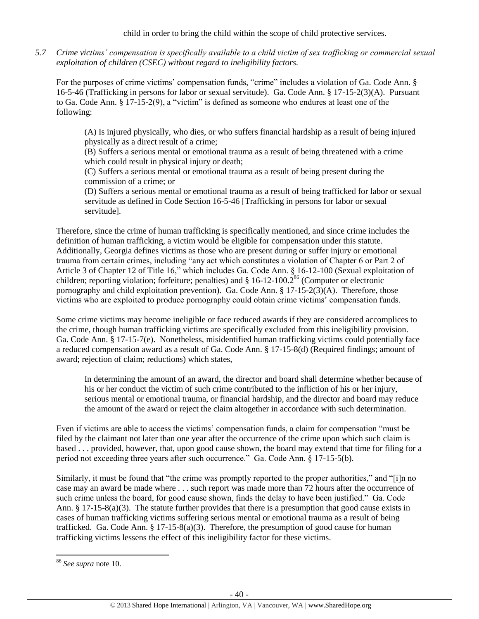child in order to bring the child within the scope of child protective services.

*5.7 Crime victims' compensation is specifically available to a child victim of sex trafficking or commercial sexual exploitation of children (CSEC) without regard to ineligibility factors.*

For the purposes of crime victims' compensation funds, "crime" includes a violation of Ga. Code Ann. § 16-5-46 (Trafficking in persons for labor or sexual servitude). Ga. Code Ann. § 17-15-2(3)(A). Pursuant to Ga. Code Ann. § 17-15-2(9), a "victim" is defined as someone who endures at least one of the following:

(A) Is injured physically, who dies, or who suffers financial hardship as a result of being injured physically as a direct result of a crime;

(B) Suffers a serious mental or emotional trauma as a result of being threatened with a crime which could result in physical injury or death;

(C) Suffers a serious mental or emotional trauma as a result of being present during the commission of a crime; or

(D) Suffers a serious mental or emotional trauma as a result of being trafficked for labor or sexual servitude as defined in Code Section 16-5-46 [Trafficking in persons for labor or sexual servitude].

Therefore, since the crime of human trafficking is specifically mentioned, and since crime includes the definition of human trafficking, a victim would be eligible for compensation under this statute. Additionally, Georgia defines victims as those who are present during or suffer injury or emotional trauma from certain crimes, including "any act which constitutes a violation of Chapter 6 or Part 2 of Article 3 of Chapter 12 of Title 16," which includes Ga. Code Ann. § 16-12-100 (Sexual exploitation of children; reporting violation; forfeiture; penalties) and  $\S$  16-12-100.2<sup>86</sup> (Computer or electronic pornography and child exploitation prevention). Ga. Code Ann. § 17-15-2(3)(A). Therefore, those victims who are exploited to produce pornography could obtain crime victims' compensation funds.

Some crime victims may become ineligible or face reduced awards if they are considered accomplices to the crime, though human trafficking victims are specifically excluded from this ineligibility provision. Ga. Code Ann. § 17-15-7(e). Nonetheless, misidentified human trafficking victims could potentially face a reduced compensation award as a result of Ga. Code Ann. § 17-15-8(d) (Required findings; amount of award; rejection of claim; reductions) which states,

In determining the amount of an award, the director and board shall determine whether because of his or her conduct the victim of such crime contributed to the infliction of his or her injury, serious mental or emotional trauma, or financial hardship, and the director and board may reduce the amount of the award or reject the claim altogether in accordance with such determination.

Even if victims are able to access the victims' compensation funds, a claim for compensation "must be filed by the claimant not later than one year after the occurrence of the crime upon which such claim is based . . . provided, however, that, upon good cause shown, the board may extend that time for filing for a period not exceeding three years after such occurrence." Ga. Code Ann. § 17-15-5(b).

Similarly, it must be found that "the crime was promptly reported to the proper authorities," and "[i]n no case may an award be made where . . . such report was made more than 72 hours after the occurrence of such crime unless the board, for good cause shown, finds the delay to have been justified." Ga. Code Ann. § 17-15-8(a)(3). The statute further provides that there is a presumption that good cause exists in cases of human trafficking victims suffering serious mental or emotional trauma as a result of being trafficked. Ga. Code Ann.  $\S 17-15-8(a)(3)$ . Therefore, the presumption of good cause for human trafficking victims lessens the effect of this ineligibility factor for these victims.

<sup>86</sup> *See supra* note [10.](#page-4-0)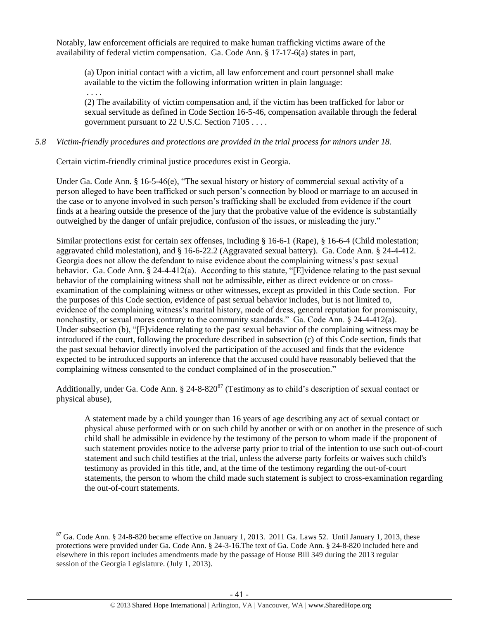Notably, law enforcement officials are required to make human trafficking victims aware of the availability of federal victim compensation. Ga. Code Ann. § 17-17-6(a) states in part,

(a) Upon initial contact with a victim, all law enforcement and court personnel shall make available to the victim the following information written in plain language: . . . .

(2) The availability of victim compensation and, if the victim has been trafficked for labor or sexual servitude as defined in Code Section 16-5-46, compensation available through the federal government pursuant to 22 U.S.C. Section 7105 . . . .

# *5.8 Victim-friendly procedures and protections are provided in the trial process for minors under 18.*

Certain victim-friendly criminal justice procedures exist in Georgia.

Under Ga. Code Ann. § 16-5-46(e), "The sexual history or history of commercial sexual activity of a person alleged to have been trafficked or such person's connection by blood or marriage to an accused in the case or to anyone involved in such person's trafficking shall be excluded from evidence if the court finds at a hearing outside the presence of the jury that the probative value of the evidence is substantially outweighed by the danger of unfair prejudice, confusion of the issues, or misleading the jury."

Similar protections exist for certain sex offenses, including § 16-6-1 (Rape), § 16-6-4 (Child molestation; aggravated child molestation), and § 16-6-22.2 (Aggravated sexual battery). Ga. Code Ann. § 24-4-412. Georgia does not allow the defendant to raise evidence about the complaining witness's past sexual behavior. Ga. Code Ann. § 24-4-412(a). According to this statute, "[E]vidence relating to the past sexual behavior of the complaining witness shall not be admissible, either as direct evidence or on crossexamination of the complaining witness or other witnesses, except as provided in this Code section. For the purposes of this Code section, evidence of past sexual behavior includes, but is not limited to, evidence of the complaining witness's marital history, mode of dress, general reputation for promiscuity, nonchastity, or sexual mores contrary to the community standards." Ga. Code Ann.  $\S$  24-4-412(a). Under subsection (b), "[E]vidence relating to the past sexual behavior of the complaining witness may be introduced if the court, following the procedure described in subsection (c) of this Code section, finds that the past sexual behavior directly involved the participation of the accused and finds that the evidence expected to be introduced supports an inference that the accused could have reasonably believed that the complaining witness consented to the conduct complained of in the prosecution."

Additionally, under Ga. Code Ann.  $\S 24-8-820<sup>87</sup>$  (Testimony as to child's description of sexual contact or physical abuse),

A statement made by a child younger than 16 years of age describing any act of sexual contact or physical abuse performed with or on such child by another or with or on another in the presence of such child shall be admissible in evidence by the testimony of the person to whom made if the proponent of such statement provides notice to the adverse party prior to trial of the intention to use such out-of-court statement and such child testifies at the trial, unless the adverse party forfeits or waives such child's testimony as provided in this title, and, at the time of the testimony regarding the out-of-court statements, the person to whom the child made such statement is subject to cross-examination regarding the out-of-court statements.

 $87$  Ga. Code Ann. § 24-8-820 became effective on January 1, 2013. 2011 Ga. Laws 52. Until January 1, 2013, these protections were provided under Ga. Code Ann. § 24-3-16.The text of Ga. Code Ann. § 24-8-820 included here and elsewhere in this report includes amendments made by the passage of House Bill 349 during the 2013 regular session of the Georgia Legislature. (July 1, 2013).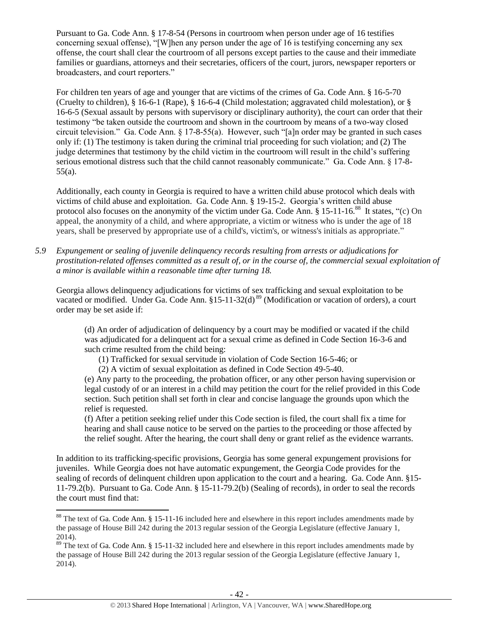Pursuant to Ga. Code Ann. § 17-8-54 (Persons in courtroom when person under age of 16 testifies concerning sexual offense), "[W]hen any person under the age of 16 is testifying concerning any sex offense, the court shall clear the courtroom of all persons except parties to the cause and their immediate families or guardians, attorneys and their secretaries, officers of the court, jurors, newspaper reporters or broadcasters, and court reporters."

For children ten years of age and younger that are victims of the crimes of Ga. Code Ann. § 16-5-70 (Cruelty to children), § 16-6-1 (Rape), § 16-6-4 (Child molestation; aggravated child molestation), or § 16-6-5 (Sexual assault by persons with supervisory or disciplinary authority), the court can order that their testimony "be taken outside the courtroom and shown in the courtroom by means of a two-way closed circuit television." Ga. Code Ann. § 17-8-55(a). However, such "[a]n order may be granted in such cases only if: (1) The testimony is taken during the criminal trial proceeding for such violation; and (2) The judge determines that testimony by the child victim in the courtroom will result in the child's suffering serious emotional distress such that the child cannot reasonably communicate." Ga. Code Ann. § 17-8-55(a).

Additionally, each county in Georgia is required to have a written child abuse protocol which deals with victims of child abuse and exploitation. Ga. Code Ann. § 19-15-2. Georgia's written child abuse protocol also focuses on the anonymity of the victim under Ga. Code Ann.  $\S 15{\text -}11{\text -}16^{88}$  It states, "(c) On appeal, the anonymity of a child, and where appropriate, a victim or witness who is under the age of 18 years, shall be preserved by appropriate use of a child's, victim's, or witness's initials as appropriate."

*5.9 Expungement or sealing of juvenile delinquency records resulting from arrests or adjudications for prostitution-related offenses committed as a result of, or in the course of, the commercial sexual exploitation of a minor is available within a reasonable time after turning 18.*

Georgia allows delinquency adjudications for victims of sex trafficking and sexual exploitation to be vacated or modified. Under Ga. Code Ann. §15-11-32(d)<sup>89</sup> (Modification or vacation of orders), a court order may be set aside if:

(d) An order of adjudication of delinquency by a court may be modified or vacated if the child was adjudicated for a delinquent act for a sexual crime as defined in Code Section 16-3-6 and such crime resulted from the child being:

(1) Trafficked for sexual servitude in violation of Code Section 16-5-46; or

(2) A victim of sexual exploitation as defined in Code Section 49-5-40.

(e) Any party to the proceeding, the probation officer, or any other person having supervision or legal custody of or an interest in a child may petition the court for the relief provided in this Code section. Such petition shall set forth in clear and concise language the grounds upon which the relief is requested.

(f) After a petition seeking relief under this Code section is filed, the court shall fix a time for hearing and shall cause notice to be served on the parties to the proceeding or those affected by the relief sought. After the hearing, the court shall deny or grant relief as the evidence warrants.

In addition to its trafficking-specific provisions, Georgia has some general expungement provisions for juveniles. While Georgia does not have automatic expungement, the Georgia Code provides for the sealing of records of delinquent children upon application to the court and a hearing. Ga. Code Ann. §15- 11-79.2(b). Pursuant to Ga. Code Ann. § 15-11-79.2(b) (Sealing of records), in order to seal the records the court must find that:

 $\overline{a}$ 

 $88$  The text of Ga. Code Ann. § 15-11-16 included here and elsewhere in this report includes amendments made by the passage of House Bill 242 during the 2013 regular session of the Georgia Legislature (effective January 1, 2014).

<sup>&</sup>lt;sup>89</sup> The text of Ga. Code Ann. § 15-11-32 included here and elsewhere in this report includes amendments made by the passage of House Bill 242 during the 2013 regular session of the Georgia Legislature (effective January 1, 2014).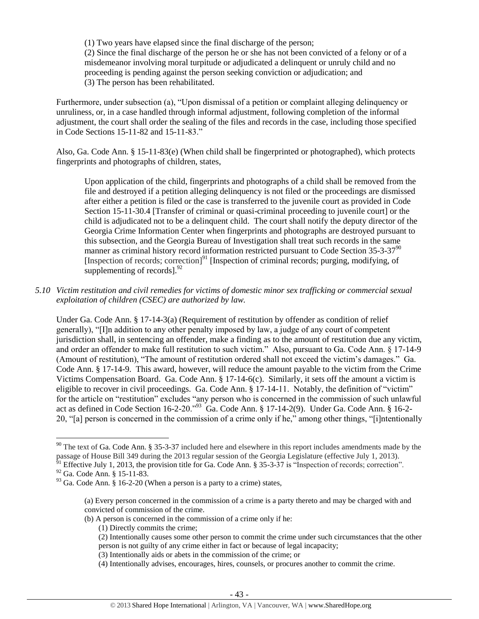(1) Two years have elapsed since the final discharge of the person; (2) Since the final discharge of the person he or she has not been convicted of a felony or of a misdemeanor involving moral turpitude or adjudicated a delinquent or unruly child and no proceeding is pending against the person seeking conviction or adjudication; and (3) The person has been rehabilitated.

Furthermore, under subsection (a), "Upon dismissal of a petition or complaint alleging delinquency or unruliness, or, in a case handled through informal adjustment, following completion of the informal adjustment, the court shall order the sealing of the files and records in the case, including those specified in Code Sections 15-11-82 and 15-11-83."

Also, Ga. Code Ann. § 15-11-83(e) (When child shall be fingerprinted or photographed), which protects fingerprints and photographs of children, states,

Upon application of the child, fingerprints and photographs of a child shall be removed from the file and destroyed if a petition alleging delinquency is not filed or the proceedings are dismissed after either a petition is filed or the case is transferred to the juvenile court as provided in Code Section 15-11-30.4 [Transfer of criminal or quasi-criminal proceeding to juvenile court] or the child is adjudicated not to be a delinquent child. The court shall notify the deputy director of the Georgia Crime Information Center when fingerprints and photographs are destroyed pursuant to this subsection, and the Georgia Bureau of Investigation shall treat such records in the same manner as criminal history record information restricted pursuant to Code Section  $35-3-37<sup>90</sup>$ [Inspection of records; correction] $91$  [Inspection of criminal records; purging, modifying, of supplementing of records]. $^{92}$ 

*5.10 Victim restitution and civil remedies for victims of domestic minor sex trafficking or commercial sexual exploitation of children (CSEC) are authorized by law.* 

Under Ga. Code Ann. § 17-14-3(a) (Requirement of restitution by offender as condition of relief generally), "[I]n addition to any other penalty imposed by law, a judge of any court of competent jurisdiction shall, in sentencing an offender, make a finding as to the amount of restitution due any victim, and order an offender to make full restitution to such victim." Also, pursuant to Ga. Code Ann. § 17-14-9 (Amount of restitution), "The amount of restitution ordered shall not exceed the victim's damages." Ga. Code Ann. § 17-14-9. This award, however, will reduce the amount payable to the victim from the Crime Victims Compensation Board. Ga. Code Ann. § 17-14-6(c). Similarly, it sets off the amount a victim is eligible to recover in civil proceedings. Ga. Code Ann. § 17-14-11. Notably, the definition of "victim" for the article on "restitution" excludes "any person who is concerned in the commission of such unlawful act as defined in Code Section 16-2-20."<sup>93</sup> Ga. Code Ann. § 17-14-2(9). Under Ga. Code Ann. § 16-2- 20, "[a] person is concerned in the commission of a crime only if he," among other things, "[i]ntentionally

- (b) A person is concerned in the commission of a crime only if he:
	- (1) Directly commits the crime;
	- (2) Intentionally causes some other person to commit the crime under such circumstances that the other person is not guilty of any crime either in fact or because of legal incapacity;
	- (3) Intentionally aids or abets in the commission of the crime; or
	- (4) Intentionally advises, encourages, hires, counsels, or procures another to commit the crime.

 $90$  The text of Ga. Code Ann. § 35-3-37 included here and elsewhere in this report includes amendments made by the passage of House Bill 349 during the 2013 regular session of the Georgia Legislature (effective July 1, 2013).

 $^{91}$  Effective July 1, 2013, the provision title for Ga. Code Ann. § 35-3-37 is "Inspection of records; correction".

<sup>92</sup> Ga. Code Ann. § 15-11-83.

 $93$  Ga. Code Ann. § 16-2-20 (When a person is a party to a crime) states,

<sup>(</sup>a) Every person concerned in the commission of a crime is a party thereto and may be charged with and convicted of commission of the crime.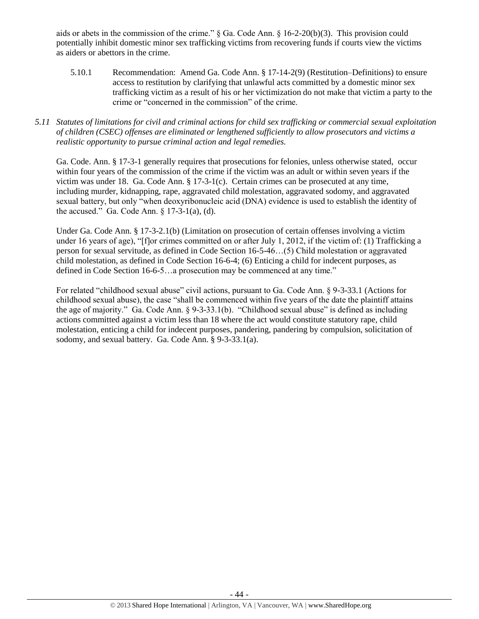aids or abets in the commission of the crime." § Ga. Code Ann. § 16-2-20(b)(3). This provision could potentially inhibit domestic minor sex trafficking victims from recovering funds if courts view the victims as aiders or abettors in the crime.

- 5.10.1 Recommendation: Amend Ga. Code Ann. § 17-14-2(9) (Restitution–Definitions) to ensure access to restitution by clarifying that unlawful acts committed by a domestic minor sex trafficking victim as a result of his or her victimization do not make that victim a party to the crime or "concerned in the commission" of the crime.
- *5.11 Statutes of limitations for civil and criminal actions for child sex trafficking or commercial sexual exploitation of children (CSEC) offenses are eliminated or lengthened sufficiently to allow prosecutors and victims a realistic opportunity to pursue criminal action and legal remedies.*

Ga. Code. Ann. § 17-3-1 generally requires that prosecutions for felonies, unless otherwise stated, occur within four years of the commission of the crime if the victim was an adult or within seven years if the victim was under 18. Ga. Code Ann. § 17-3-1(c). Certain crimes can be prosecuted at any time, including murder, kidnapping, rape, aggravated child molestation, aggravated sodomy, and aggravated sexual battery, but only "when deoxyribonucleic acid (DNA) evidence is used to establish the identity of the accused." Ga. Code Ann.  $\S 17-3-1$ (a), (d).

Under Ga. Code Ann. § 17-3-2.1(b) (Limitation on prosecution of certain offenses involving a victim under 16 years of age), "[f]or crimes committed on or after July 1, 2012, if the victim of: (1) Trafficking a person for sexual servitude, as defined in Code Section 16-5-46…(5) Child molestation or aggravated child molestation, as defined in Code Section 16-6-4; (6) Enticing a child for indecent purposes, as defined in Code Section 16-6-5…a prosecution may be commenced at any time."

For related "childhood sexual abuse" civil actions, pursuant to Ga. Code Ann. § 9-3-33.1 (Actions for childhood sexual abuse), the case "shall be commenced within five years of the date the plaintiff attains the age of majority." Ga. Code Ann. § 9-3-33.1(b). "Childhood sexual abuse" is defined as including actions committed against a victim less than 18 where the act would constitute statutory rape, child molestation, enticing a child for indecent purposes, pandering, pandering by compulsion, solicitation of sodomy, and sexual battery. Ga. Code Ann. § 9-3-33.1(a).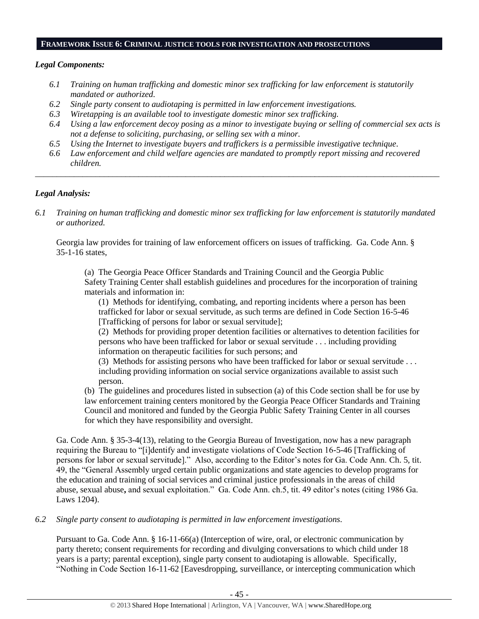#### **FRAMEWORK ISSUE 6: CRIMINAL JUSTICE TOOLS FOR INVESTIGATION AND PROSECUTIONS**

# *Legal Components:*

- *6.1 Training on human trafficking and domestic minor sex trafficking for law enforcement is statutorily mandated or authorized.*
- *6.2 Single party consent to audiotaping is permitted in law enforcement investigations.*
- *6.3 Wiretapping is an available tool to investigate domestic minor sex trafficking.*
- *6.4 Using a law enforcement decoy posing as a minor to investigate buying or selling of commercial sex acts is not a defense to soliciting, purchasing, or selling sex with a minor.*
- *6.5 Using the Internet to investigate buyers and traffickers is a permissible investigative technique.*
- *6.6 Law enforcement and child welfare agencies are mandated to promptly report missing and recovered children. \_\_\_\_\_\_\_\_\_\_\_\_\_\_\_\_\_\_\_\_\_\_\_\_\_\_\_\_\_\_\_\_\_\_\_\_\_\_\_\_\_\_\_\_\_\_\_\_\_\_\_\_\_\_\_\_\_\_\_\_\_\_\_\_\_\_\_\_\_\_\_\_\_\_\_\_\_\_\_\_\_\_\_\_\_\_\_\_\_\_\_\_\_\_*

# *Legal Analysis:*

*6.1 Training on human trafficking and domestic minor sex trafficking for law enforcement is statutorily mandated or authorized.*

Georgia law provides for training of law enforcement officers on issues of trafficking. Ga. Code Ann. § 35-1-16 states,

(a) The Georgia Peace Officer Standards and Training Council and the Georgia Public Safety Training Center shall establish guidelines and procedures for the incorporation of training materials and information in:

(1) Methods for identifying, combating, and reporting incidents where a person has been trafficked for labor or sexual servitude, as such terms are defined in Code Section 16-5-46 [Trafficking of persons for labor or sexual servitude];

(2) Methods for providing proper detention facilities or alternatives to detention facilities for persons who have been trafficked for labor or sexual servitude . . . including providing information on therapeutic facilities for such persons; and

(3) Methods for assisting persons who have been trafficked for labor or sexual servitude . . . including providing information on social service organizations available to assist such person.

(b) The guidelines and procedures listed in subsection (a) of this Code section shall be for use by law enforcement training centers monitored by the Georgia Peace Officer Standards and Training Council and monitored and funded by the Georgia Public Safety Training Center in all courses for which they have responsibility and oversight.

Ga. Code Ann. § 35-3-4(13), relating to the Georgia Bureau of Investigation, now has a new paragraph requiring the Bureau to "[i]dentify and investigate violations of Code Section 16-5-46 [Trafficking of persons for labor or sexual servitude]." Also, according to the Editor's notes for Ga. Code Ann. Ch. 5, tit. 49, the "General Assembly urged certain public organizations and state agencies to develop programs for the education and training of social services and criminal justice professionals in the areas of child abuse, sexual abuse**,** and sexual exploitation." Ga. Code Ann. ch.5, tit. 49 editor's notes (citing 1986 Ga. Laws 1204).

# *6.2 Single party consent to audiotaping is permitted in law enforcement investigations.*

Pursuant to Ga. Code Ann. § 16-11-66(a) (Interception of wire, oral, or electronic communication by party thereto; consent requirements for recording and divulging conversations to which child under 18 years is a party; parental exception), single party consent to audiotaping is allowable. Specifically, "Nothing in Code Section 16-11-62 [Eavesdropping, surveillance, or intercepting communication which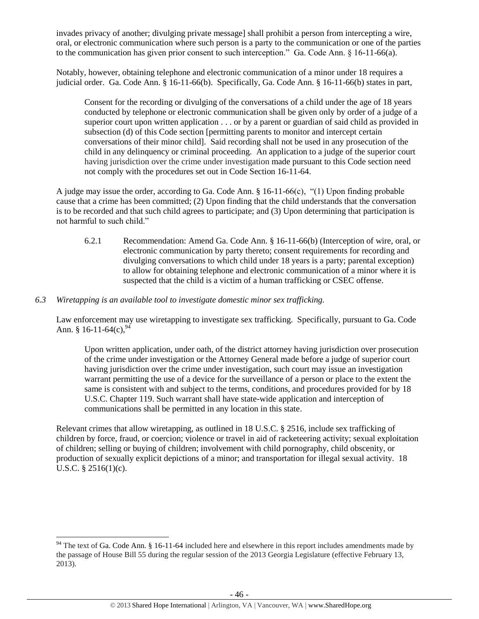invades privacy of another; divulging private message] shall prohibit a person from intercepting a wire, oral, or electronic communication where such person is a party to the communication or one of the parties to the communication has given prior consent to such interception." Ga. Code Ann. § 16-11-66(a).

Notably, however, obtaining telephone and electronic communication of a minor under 18 requires a judicial order. Ga. Code Ann. § 16-11-66(b). Specifically, Ga. Code Ann. § 16-11-66(b) states in part,

Consent for the recording or divulging of the conversations of a child under the age of 18 years conducted by telephone or electronic communication shall be given only by order of a judge of a superior court upon written application . . . or by a parent or guardian of said child as provided in subsection (d) of this Code section [permitting parents to monitor and intercept certain conversations of their minor child]. Said recording shall not be used in any prosecution of the child in any delinquency or criminal proceeding. An application to a judge of the superior court having jurisdiction over the crime under investigation made pursuant to this Code section need not comply with the procedures set out in Code Section 16-11-64.

A judge may issue the order, according to Ga. Code Ann. § 16-11-66(c), "(1) Upon finding probable cause that a crime has been committed; (2) Upon finding that the child understands that the conversation is to be recorded and that such child agrees to participate; and (3) Upon determining that participation is not harmful to such child."

6.2.1 Recommendation: Amend Ga. Code Ann. § 16-11-66(b) (Interception of wire, oral, or electronic communication by party thereto; consent requirements for recording and divulging conversations to which child under 18 years is a party; parental exception) to allow for obtaining telephone and electronic communication of a minor where it is suspected that the child is a victim of a human trafficking or CSEC offense.

# *6.3 Wiretapping is an available tool to investigate domestic minor sex trafficking.*

Law enforcement may use wiretapping to investigate sex trafficking. Specifically, pursuant to Ga. Code Ann. § 16-11-64(c),  $94$ 

Upon written application, under oath, of the district attorney having jurisdiction over prosecution of the crime under investigation or the Attorney General made before a judge of superior court having jurisdiction over the crime under investigation, such court may issue an investigation warrant permitting the use of a device for the surveillance of a person or place to the extent the same is consistent with and subject to the terms, conditions, and procedures provided for by 18 U.S.C. Chapter 119. Such warrant shall have state-wide application and interception of communications shall be permitted in any location in this state.

Relevant crimes that allow wiretapping, as outlined in 18 U.S.C. § 2516, include sex trafficking of children by force, fraud, or coercion; violence or travel in aid of racketeering activity; sexual exploitation of children; selling or buying of children; involvement with child pornography, child obscenity, or production of sexually explicit depictions of a minor; and transportation for illegal sexual activity. 18 U.S.C. § 2516(1)(c).

l  $94$  The text of Ga. Code Ann. § 16-11-64 included here and elsewhere in this report includes amendments made by the passage of House Bill 55 during the regular session of the 2013 Georgia Legislature (effective February 13, 2013).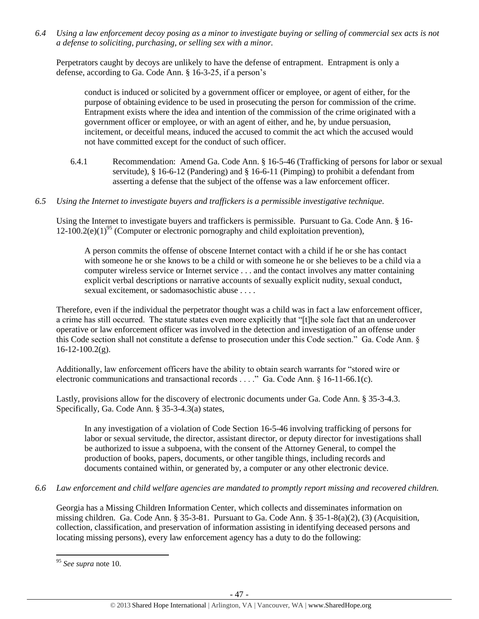*6.4 Using a law enforcement decoy posing as a minor to investigate buying or selling of commercial sex acts is not a defense to soliciting, purchasing, or selling sex with a minor.*

Perpetrators caught by decoys are unlikely to have the defense of entrapment. Entrapment is only a defense, according to Ga. Code Ann. § 16-3-25, if a person's

conduct is induced or solicited by a government officer or employee, or agent of either, for the purpose of obtaining evidence to be used in prosecuting the person for commission of the crime. Entrapment exists where the idea and intention of the commission of the crime originated with a government officer or employee, or with an agent of either, and he, by undue persuasion, incitement, or deceitful means, induced the accused to commit the act which the accused would not have committed except for the conduct of such officer.

- 6.4.1 Recommendation: Amend Ga. Code Ann. § 16-5-46 (Trafficking of persons for labor or sexual servitude),  $§$  16-6-12 (Pandering) and  $§$  16-6-11 (Pimping) to prohibit a defendant from asserting a defense that the subject of the offense was a law enforcement officer.
- *6.5 Using the Internet to investigate buyers and traffickers is a permissible investigative technique.*

Using the Internet to investigate buyers and traffickers is permissible. Pursuant to Ga. Code Ann. § 16- 12-100.2(e)(1)<sup>95</sup> (Computer or electronic pornography and child exploitation prevention),

A person commits the offense of obscene Internet contact with a child if he or she has contact with someone he or she knows to be a child or with someone he or she believes to be a child via a computer wireless service or Internet service . . . and the contact involves any matter containing explicit verbal descriptions or narrative accounts of sexually explicit nudity, sexual conduct, sexual excitement, or sadomasochistic abuse . . . .

Therefore, even if the individual the perpetrator thought was a child was in fact a law enforcement officer, a crime has still occurred. The statute states even more explicitly that "[t]he sole fact that an undercover operative or law enforcement officer was involved in the detection and investigation of an offense under this Code section shall not constitute a defense to prosecution under this Code section." Ga. Code Ann. §  $16-12-100.2(g)$ .

Additionally, law enforcement officers have the ability to obtain search warrants for "stored wire or electronic communications and transactional records . . . ." Ga. Code Ann. § 16-11-66.1(c).

Lastly, provisions allow for the discovery of electronic documents under Ga. Code Ann. § 35-3-4.3. Specifically, Ga. Code Ann. § 35-3-4.3(a) states,

In any investigation of a violation of Code Section 16-5-46 involving trafficking of persons for labor or sexual servitude, the director, assistant director, or deputy director for investigations shall be authorized to issue a subpoena, with the consent of the Attorney General, to compel the production of books, papers, documents, or other tangible things, including records and documents contained within, or generated by, a computer or any other electronic device.

# *6.6 Law enforcement and child welfare agencies are mandated to promptly report missing and recovered children.*

Georgia has a Missing Children Information Center, which collects and disseminates information on missing children. Ga. Code Ann. § 35-3-81. Pursuant to Ga. Code Ann. § 35-1-8(a)(2), (3) (Acquisition, collection, classification, and preservation of information assisting in identifying deceased persons and locating missing persons), every law enforcement agency has a duty to do the following:

 $\overline{\phantom{a}}$ <sup>95</sup> *See supra* note [10.](#page-4-0)